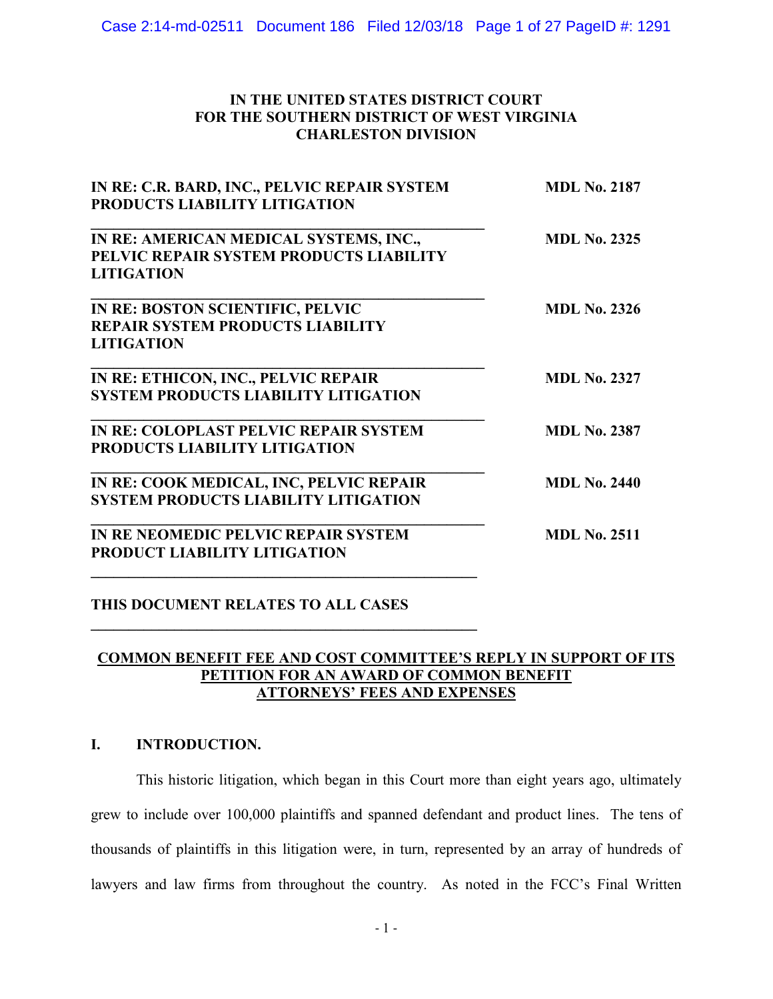## **IN THE UNITED STATES DISTRICT COURT FOR THE SOUTHERN DISTRICT OF WEST VIRGINIA CHARLESTON DIVISION**

| IN RE: C.R. BARD, INC., PELVIC REPAIR SYSTEM<br>PRODUCTS LIABILITY LITIGATION     | <b>MDL No. 2187</b> |
|-----------------------------------------------------------------------------------|---------------------|
| IN RE: AMERICAN MEDICAL SYSTEMS, INC.,<br>PELVIC REPAIR SYSTEM PRODUCTS LIABILITY | <b>MDL No. 2325</b> |
| <b>LITIGATION</b>                                                                 |                     |
| IN RE: BOSTON SCIENTIFIC, PELVIC                                                  | <b>MDL No. 2326</b> |
| REPAIR SYSTEM PRODUCTS LIABILITY<br><b>LITIGATION</b>                             |                     |
| IN RE: ETHICON, INC., PELVIC REPAIR                                               | <b>MDL No. 2327</b> |
| <b>SYSTEM PRODUCTS LIABILITY LITIGATION</b>                                       |                     |
| IN RE: COLOPLAST PELVIC REPAIR SYSTEM                                             | <b>MDL No. 2387</b> |
| PRODUCTS LIABILITY LITIGATION                                                     |                     |
| IN RE: COOK MEDICAL, INC, PELVIC REPAIR                                           | <b>MDL No. 2440</b> |
| <b>SYSTEM PRODUCTS LIABILITY LITIGATION</b>                                       |                     |
| IN RE NEOMEDIC PELVIC REPAIR SYSTEM                                               | <b>MDL No. 2511</b> |
| PRODUCT LIABILITY LITIGATION                                                      |                     |

## **THIS DOCUMENT RELATES TO ALL CASES**

**\_\_\_\_\_\_\_\_\_\_\_\_\_\_\_\_\_\_\_\_\_\_\_\_\_\_\_\_\_\_\_\_\_\_\_\_\_\_\_\_\_\_\_\_\_\_\_\_\_\_\_**

## **COMMON BENEFIT FEE AND COST COMMITTEE'S REPLY IN SUPPORT OF ITS PETITION FOR AN AWARD OF COMMON BENEFIT ATTORNEYS' FEES AND EXPENSES**

# **I. INTRODUCTION.**

This historic litigation, which began in this Court more than eight years ago, ultimately grew to include over 100,000 plaintiffs and spanned defendant and product lines. The tens of thousands of plaintiffs in this litigation were, in turn, represented by an array of hundreds of lawyers and law firms from throughout the country. As noted in the FCC's Final Written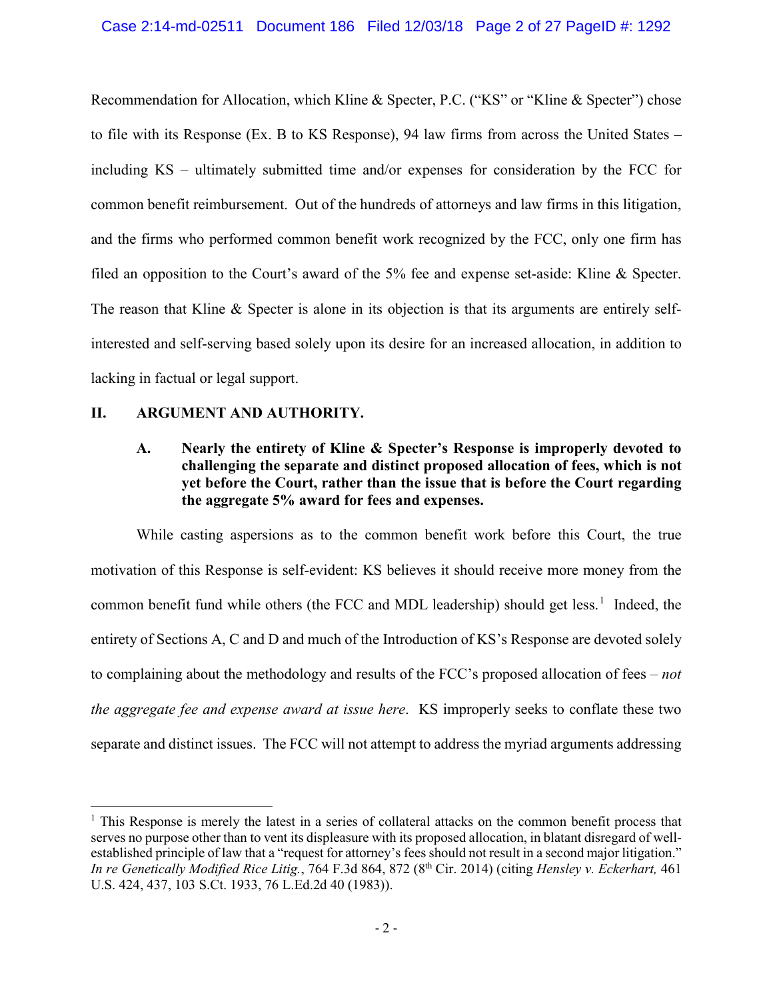Recommendation for Allocation, which Kline & Specter, P.C. ("KS" or "Kline & Specter") chose to file with its Response (Ex. B to KS Response), 94 law firms from across the United States – including KS – ultimately submitted time and/or expenses for consideration by the FCC for common benefit reimbursement. Out of the hundreds of attorneys and law firms in this litigation, and the firms who performed common benefit work recognized by the FCC, only one firm has filed an opposition to the Court's award of the 5% fee and expense set-aside: Kline & Specter. The reason that Kline & Specter is alone in its objection is that its arguments are entirely selfinterested and self-serving based solely upon its desire for an increased allocation, in addition to lacking in factual or legal support.

## **II. ARGUMENT AND AUTHORITY.**

 $\overline{\phantom{a}}$ 

## **A. Nearly the entirety of Kline & Specter's Response is improperly devoted to challenging the separate and distinct proposed allocation of fees, which is not yet before the Court, rather than the issue that is before the Court regarding the aggregate 5% award for fees and expenses.**

While casting aspersions as to the common benefit work before this Court, the true motivation of this Response is self-evident: KS believes it should receive more money from the common benefit fund while others (the FCC and MDL leadership) should get less.<sup>[1](#page-1-0)</sup> Indeed, the entirety of Sections A, C and D and much of the Introduction of KS's Response are devoted solely to complaining about the methodology and results of the FCC's proposed allocation of fees – *not the aggregate fee and expense award at issue here*. KS improperly seeks to conflate these two separate and distinct issues. The FCC will not attempt to address the myriad arguments addressing

<span id="page-1-0"></span><sup>&</sup>lt;sup>1</sup> This Response is merely the latest in a series of collateral attacks on the common benefit process that serves no purpose other than to vent its displeasure with its proposed allocation, in blatant disregard of wellestablished principle of law that a "request for attorney's fees should not result in a second major litigation." *In re Genetically Modified Rice Litig.*, 764 F.3d 864, 872 (8th Cir. 2014) (citing *Hensley v. Eckerhart,* 461 U.S. 424, 437, 103 S.Ct. 1933, 76 L.Ed.2d 40 (1983)).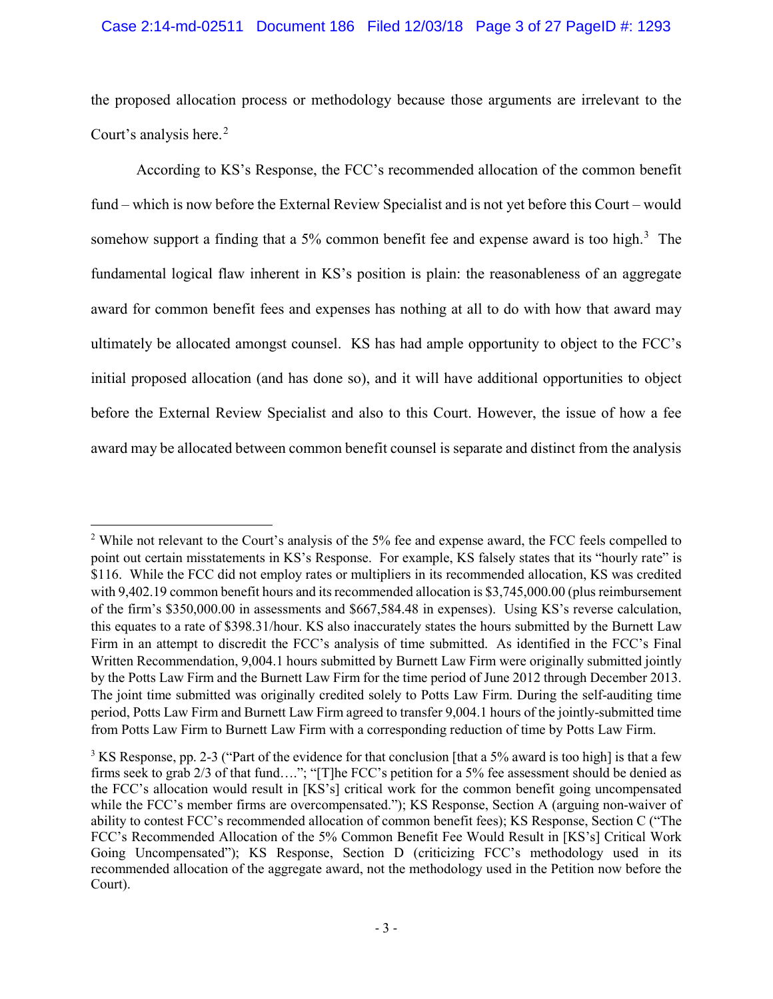### Case 2:14-md-02511 Document 186 Filed 12/03/18 Page 3 of 27 PageID #: 1293

the proposed allocation process or methodology because those arguments are irrelevant to the Court's analysis here.<sup>[2](#page-2-0)</sup>

According to KS's Response, the FCC's recommended allocation of the common benefit fund – which is now before the External Review Specialist and is not yet before this Court – would somehow support a finding that a 5% common benefit fee and expense award is too high.<sup>[3](#page-2-1)</sup> The fundamental logical flaw inherent in KS's position is plain: the reasonableness of an aggregate award for common benefit fees and expenses has nothing at all to do with how that award may ultimately be allocated amongst counsel. KS has had ample opportunity to object to the FCC's initial proposed allocation (and has done so), and it will have additional opportunities to object before the External Review Specialist and also to this Court. However, the issue of how a fee award may be allocated between common benefit counsel is separate and distinct from the analysis

<span id="page-2-0"></span><sup>&</sup>lt;sup>2</sup> While not relevant to the Court's analysis of the 5% fee and expense award, the FCC feels compelled to point out certain misstatements in KS's Response. For example, KS falsely states that its "hourly rate" is \$116. While the FCC did not employ rates or multipliers in its recommended allocation, KS was credited with 9,402.19 common benefit hours and its recommended allocation is \$3,745,000.00 (plus reimbursement of the firm's \$350,000.00 in assessments and \$667,584.48 in expenses). Using KS's reverse calculation, this equates to a rate of \$398.31/hour. KS also inaccurately states the hours submitted by the Burnett Law Firm in an attempt to discredit the FCC's analysis of time submitted. As identified in the FCC's Final Written Recommendation, 9,004.1 hours submitted by Burnett Law Firm were originally submitted jointly by the Potts Law Firm and the Burnett Law Firm for the time period of June 2012 through December 2013. The joint time submitted was originally credited solely to Potts Law Firm. During the self-auditing time period, Potts Law Firm and Burnett Law Firm agreed to transfer 9,004.1 hours of the jointly-submitted time from Potts Law Firm to Burnett Law Firm with a corresponding reduction of time by Potts Law Firm.

<span id="page-2-1"></span><sup>&</sup>lt;sup>3</sup> KS Response, pp. 2-3 ("Part of the evidence for that conclusion [that a 5% award is too high] is that a few firms seek to grab 2/3 of that fund…."; "[T]he FCC's petition for a 5% fee assessment should be denied as the FCC's allocation would result in [KS's] critical work for the common benefit going uncompensated while the FCC's member firms are overcompensated."); KS Response, Section A (arguing non-waiver of ability to contest FCC's recommended allocation of common benefit fees); KS Response, Section C ("The FCC's Recommended Allocation of the 5% Common Benefit Fee Would Result in [KS's] Critical Work Going Uncompensated"); KS Response, Section D (criticizing FCC's methodology used in its recommended allocation of the aggregate award, not the methodology used in the Petition now before the Court).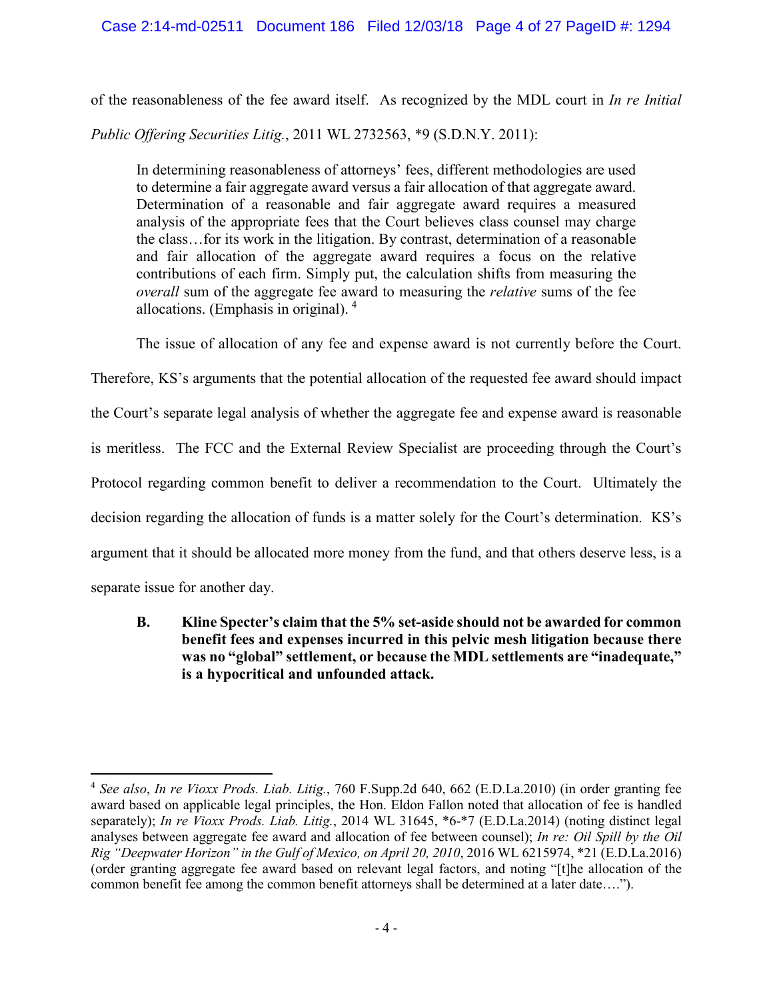of the reasonableness of the fee award itself. As recognized by the MDL court in *In re Initial Public Offering Securities Litig.*, 2011 WL 2732563, \*9 (S.D.N.Y. 2011):

In determining reasonableness of attorneys' fees, different methodologies are used to determine a fair aggregate award versus a fair allocation of that aggregate award. Determination of a reasonable and fair aggregate award requires a measured analysis of the appropriate fees that the Court believes class counsel may charge the class…for its work in the litigation. By contrast, determination of a reasonable and fair allocation of the aggregate award requires a focus on the relative contributions of each firm. Simply put, the calculation shifts from measuring the *overall* sum of the aggregate fee award to measuring the *relative* sums of the fee allocations. (Emphasis in original). [4](#page-3-0)

The issue of allocation of any fee and expense award is not currently before the Court.

Therefore, KS's arguments that the potential allocation of the requested fee award should impact the Court's separate legal analysis of whether the aggregate fee and expense award is reasonable is meritless. The FCC and the External Review Specialist are proceeding through the Court's Protocol regarding common benefit to deliver a recommendation to the Court. Ultimately the decision regarding the allocation of funds is a matter solely for the Court's determination. KS's argument that it should be allocated more money from the fund, and that others deserve less, is a separate issue for another day.

**B. Kline Specter's claim that the 5% set-aside should not be awarded for common benefit fees and expenses incurred in this pelvic mesh litigation because there was no "global" settlement, or because the MDL settlements are "inadequate," is a hypocritical and unfounded attack.**

<span id="page-3-0"></span><sup>4</sup> *See also*, *In re Vioxx Prods. Liab. Litig.*, 760 F.Supp.2d 640, 662 (E.D.La.2010) (in order granting fee award based on applicable legal principles, the Hon. Eldon Fallon noted that allocation of fee is handled separately); *In re Vioxx Prods. Liab. Litig.*, 2014 WL 31645, \*6-\*7 (E.D.La.2014) (noting distinct legal analyses between aggregate fee award and allocation of fee between counsel); *In re: Oil Spill by the Oil Rig "Deepwater Horizon" in the Gulf of Mexico, on April 20, 2010*, 2016 WL 6215974, \*21 (E.D.La.2016) (order granting aggregate fee award based on relevant legal factors, and noting "[t]he allocation of the common benefit fee among the common benefit attorneys shall be determined at a later date….").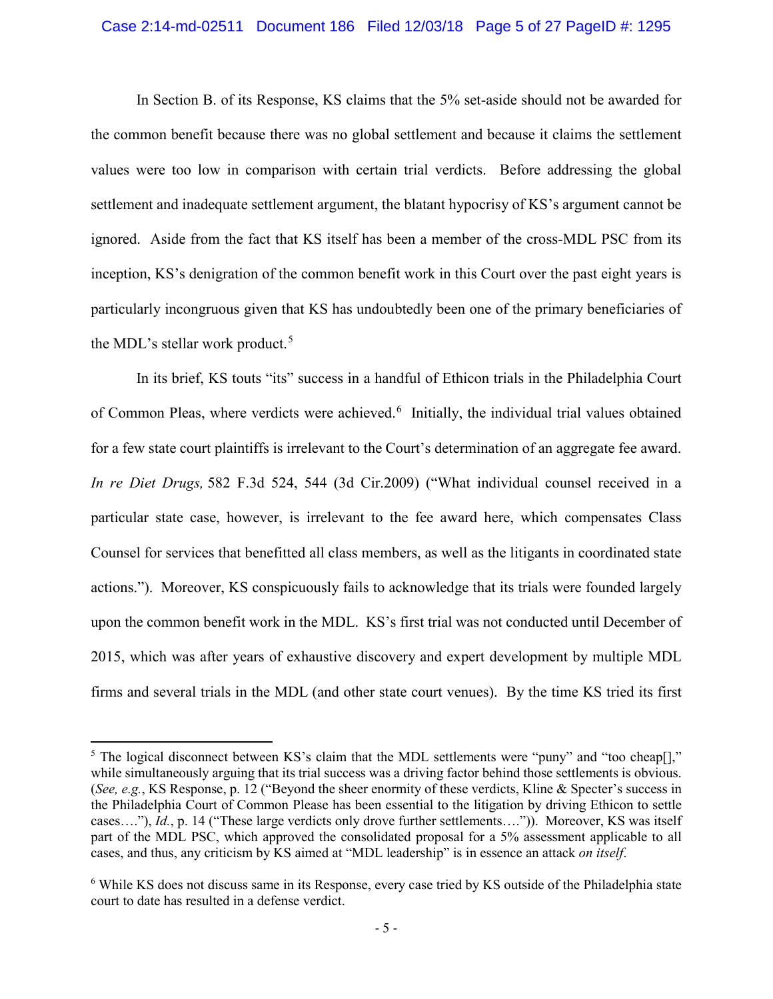#### Case 2:14-md-02511 Document 186 Filed 12/03/18 Page 5 of 27 PageID #: 1295

In Section B. of its Response, KS claims that the 5% set-aside should not be awarded for the common benefit because there was no global settlement and because it claims the settlement values were too low in comparison with certain trial verdicts. Before addressing the global settlement and inadequate settlement argument, the blatant hypocrisy of KS's argument cannot be ignored. Aside from the fact that KS itself has been a member of the cross-MDL PSC from its inception, KS's denigration of the common benefit work in this Court over the past eight years is particularly incongruous given that KS has undoubtedly been one of the primary beneficiaries of the MDL's stellar work product.<sup>[5](#page-4-0)</sup>

In its brief, KS touts "its" success in a handful of Ethicon trials in the Philadelphia Court of Common Pleas, where verdicts were achieved.<sup>[6](#page-4-1)</sup> Initially, the individual trial values obtained for a few state court plaintiffs is irrelevant to the Court's determination of an aggregate fee award. *In re Diet Drugs,* 582 F.3d 524, 544 (3d Cir.2009) ("What individual counsel received in a particular state case, however, is irrelevant to the fee award here, which compensates Class Counsel for services that benefitted all class members, as well as the litigants in coordinated state actions."). Moreover, KS conspicuously fails to acknowledge that its trials were founded largely upon the common benefit work in the MDL. KS's first trial was not conducted until December of 2015, which was after years of exhaustive discovery and expert development by multiple MDL firms and several trials in the MDL (and other state court venues). By the time KS tried its first

<span id="page-4-0"></span><sup>&</sup>lt;sup>5</sup> The logical disconnect between KS's claim that the MDL settlements were "puny" and "too cheap[]," while simultaneously arguing that its trial success was a driving factor behind those settlements is obvious. (*See, e.g.*, KS Response, p. 12 ("Beyond the sheer enormity of these verdicts, Kline & Specter's success in the Philadelphia Court of Common Please has been essential to the litigation by driving Ethicon to settle cases…."), *Id.*, p. 14 ("These large verdicts only drove further settlements….")). Moreover, KS was itself part of the MDL PSC, which approved the consolidated proposal for a 5% assessment applicable to all cases, and thus, any criticism by KS aimed at "MDL leadership" is in essence an attack *on itself*.

<span id="page-4-1"></span><sup>6</sup> While KS does not discuss same in its Response, every case tried by KS outside of the Philadelphia state court to date has resulted in a defense verdict.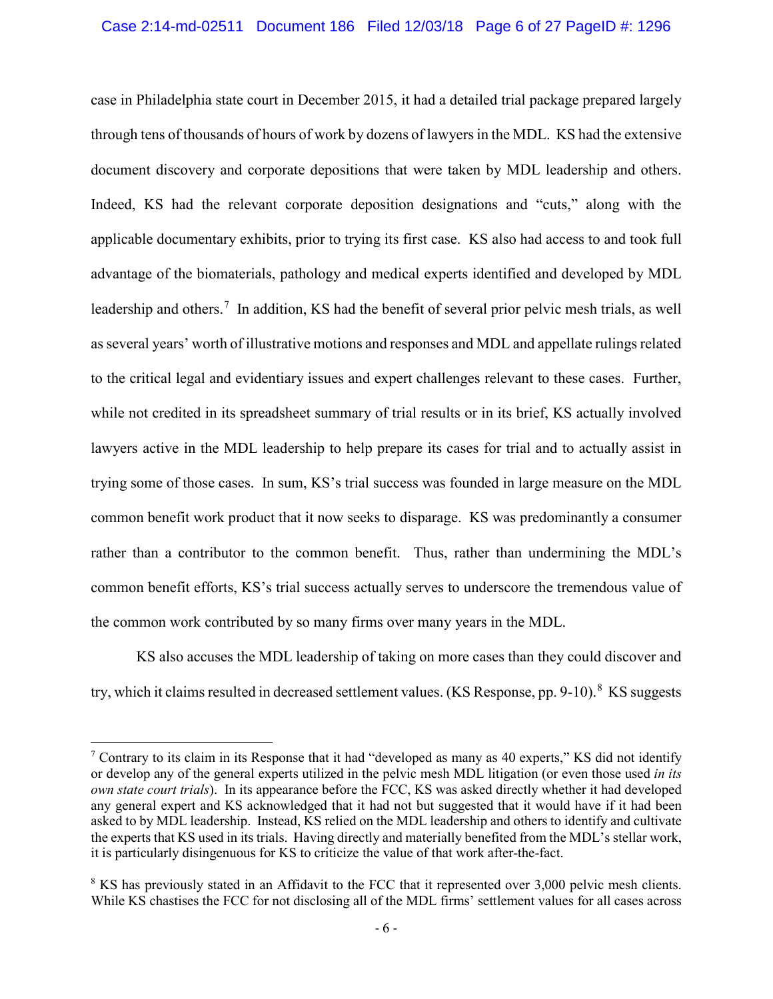## Case 2:14-md-02511 Document 186 Filed 12/03/18 Page 6 of 27 PageID #: 1296

case in Philadelphia state court in December 2015, it had a detailed trial package prepared largely through tens of thousands of hours of work by dozens of lawyers in the MDL. KS had the extensive document discovery and corporate depositions that were taken by MDL leadership and others. Indeed, KS had the relevant corporate deposition designations and "cuts," along with the applicable documentary exhibits, prior to trying its first case. KS also had access to and took full advantage of the biomaterials, pathology and medical experts identified and developed by MDL leadership and others.<sup>[7](#page-5-0)</sup> In addition, KS had the benefit of several prior pelvic mesh trials, as well as several years' worth of illustrative motions and responses and MDL and appellate rulings related to the critical legal and evidentiary issues and expert challenges relevant to these cases. Further, while not credited in its spreadsheet summary of trial results or in its brief, KS actually involved lawyers active in the MDL leadership to help prepare its cases for trial and to actually assist in trying some of those cases. In sum, KS's trial success was founded in large measure on the MDL common benefit work product that it now seeks to disparage. KS was predominantly a consumer rather than a contributor to the common benefit. Thus, rather than undermining the MDL's common benefit efforts, KS's trial success actually serves to underscore the tremendous value of the common work contributed by so many firms over many years in the MDL.

KS also accuses the MDL leadership of taking on more cases than they could discover and try, which it claims resulted in decreased settlement values. (KS Response, pp. 9-10).<sup>[8](#page-5-1)</sup> KS suggests

<span id="page-5-0"></span><sup>&</sup>lt;sup>7</sup> Contrary to its claim in its Response that it had "developed as many as 40 experts," KS did not identify or develop any of the general experts utilized in the pelvic mesh MDL litigation (or even those used *in its own state court trials*). In its appearance before the FCC, KS was asked directly whether it had developed any general expert and KS acknowledged that it had not but suggested that it would have if it had been asked to by MDL leadership. Instead, KS relied on the MDL leadership and others to identify and cultivate the experts that KS used in its trials. Having directly and materially benefited from the MDL's stellar work, it is particularly disingenuous for KS to criticize the value of that work after-the-fact.

<span id="page-5-1"></span><sup>8</sup> KS has previously stated in an Affidavit to the FCC that it represented over 3,000 pelvic mesh clients. While KS chastises the FCC for not disclosing all of the MDL firms' settlement values for all cases across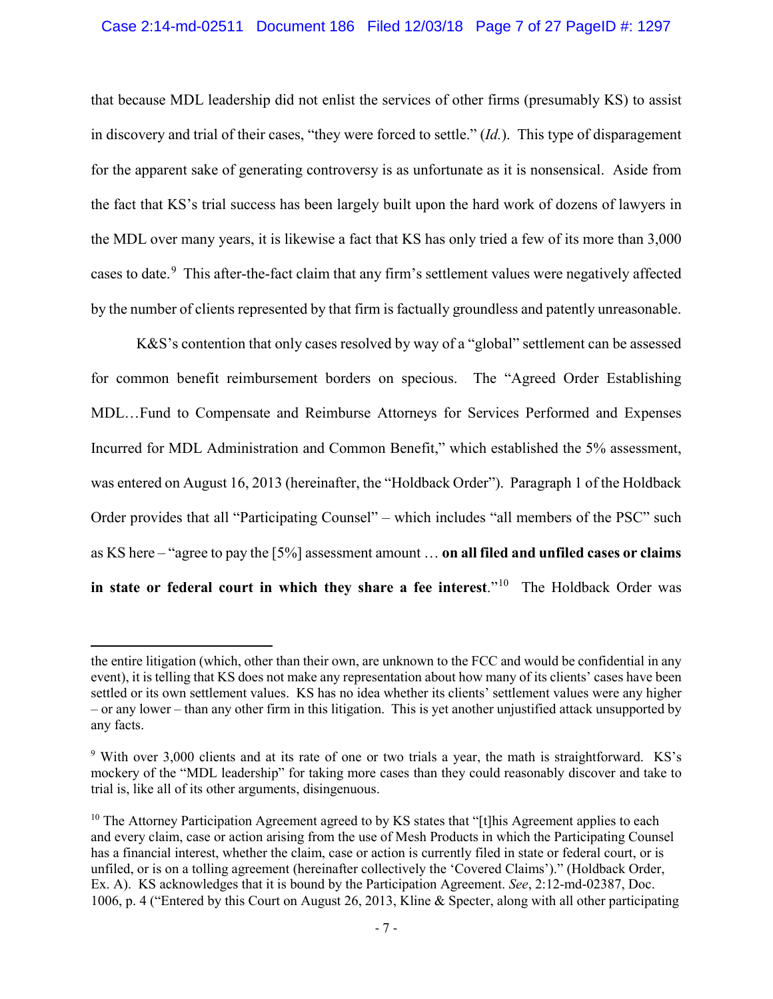### Case 2:14-md-02511 Document 186 Filed 12/03/18 Page 7 of 27 PageID #: 1297

that because MDL leadership did not enlist the services of other firms (presumably KS) to assist in discovery and trial of their cases, "they were forced to settle." (*Id.*). This type of disparagement for the apparent sake of generating controversy is as unfortunate as it is nonsensical. Aside from the fact that KS's trial success has been largely built upon the hard work of dozens of lawyers in the MDL over many years, it is likewise a fact that KS has only tried a few of its more than 3,000 cases to date.<sup>[9](#page-6-0)</sup> This after-the-fact claim that any firm's settlement values were negatively affected by the number of clients represented by that firm is factually groundless and patently unreasonable.

K&S's contention that only cases resolved by way of a "global" settlement can be assessed for common benefit reimbursement borders on specious. The "Agreed Order Establishing MDL…Fund to Compensate and Reimburse Attorneys for Services Performed and Expenses Incurred for MDL Administration and Common Benefit," which established the 5% assessment, was entered on August 16, 2013 (hereinafter, the "Holdback Order"). Paragraph 1 of the Holdback Order provides that all "Participating Counsel" – which includes "all members of the PSC" such as KS here – "agree to pay the [5%] assessment amount … **on all filed and unfiled cases or claims in state or federal court in which they share a fee interest.**<sup>"[10](#page-6-1)</sup> The Holdback Order was

the entire litigation (which, other than their own, are unknown to the FCC and would be confidential in any event), it is telling that KS does not make any representation about how many of its clients' cases have been settled or its own settlement values. KS has no idea whether its clients' settlement values were any higher – or any lower – than any other firm in this litigation. This is yet another unjustified attack unsupported by any facts.

<span id="page-6-0"></span><sup>9</sup> With over 3,000 clients and at its rate of one or two trials a year, the math is straightforward. KS's mockery of the "MDL leadership" for taking more cases than they could reasonably discover and take to trial is, like all of its other arguments, disingenuous.

<span id="page-6-1"></span> $10$  The Attorney Participation Agreement agreed to by KS states that "[t]his Agreement applies to each and every claim, case or action arising from the use of Mesh Products in which the Participating Counsel has a financial interest, whether the claim, case or action is currently filed in state or federal court, or is unfiled, or is on a tolling agreement (hereinafter collectively the 'Covered Claims')." (Holdback Order, Ex. A). KS acknowledges that it is bound by the Participation Agreement. *See*, 2:12-md-02387, Doc. 1006, p. 4 ("Entered by this Court on August 26, 2013, Kline & Specter, along with all other participating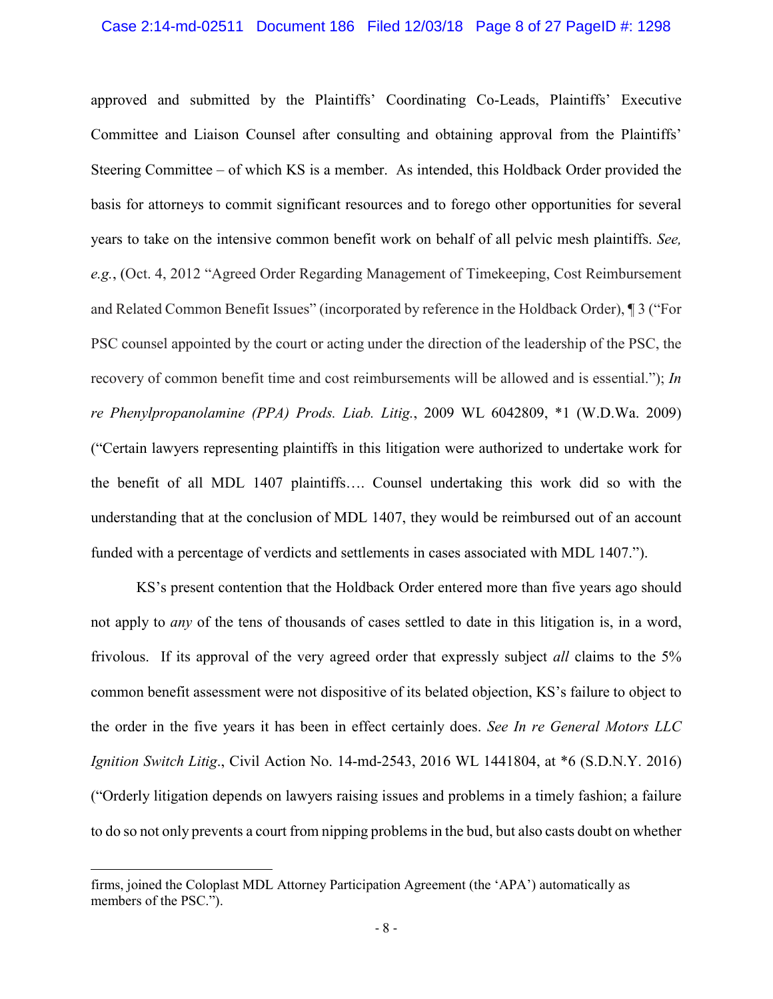#### Case 2:14-md-02511 Document 186 Filed 12/03/18 Page 8 of 27 PageID #: 1298

approved and submitted by the Plaintiffs' Coordinating Co-Leads, Plaintiffs' Executive Committee and Liaison Counsel after consulting and obtaining approval from the Plaintiffs' Steering Committee – of which KS is a member. As intended, this Holdback Order provided the basis for attorneys to commit significant resources and to forego other opportunities for several years to take on the intensive common benefit work on behalf of all pelvic mesh plaintiffs. *See, e.g.*, (Oct. 4, 2012 "Agreed Order Regarding Management of Timekeeping, Cost Reimbursement and Related Common Benefit Issues" (incorporated by reference in the Holdback Order), ¶ 3 ("For PSC counsel appointed by the court or acting under the direction of the leadership of the PSC, the recovery of common benefit time and cost reimbursements will be allowed and is essential."); *In re Phenylpropanolamine (PPA) Prods. Liab. Litig.*, 2009 WL 6042809, \*1 (W.D.Wa. 2009) ("Certain lawyers representing plaintiffs in this litigation were authorized to undertake work for the benefit of all MDL 1407 plaintiffs…. Counsel undertaking this work did so with the understanding that at the conclusion of MDL 1407, they would be reimbursed out of an account funded with a percentage of verdicts and settlements in cases associated with MDL 1407.").

KS's present contention that the Holdback Order entered more than five years ago should not apply to *any* of the tens of thousands of cases settled to date in this litigation is, in a word, frivolous. If its approval of the very agreed order that expressly subject *all* claims to the 5% common benefit assessment were not dispositive of its belated objection, KS's failure to object to the order in the five years it has been in effect certainly does. *See In re General Motors LLC Ignition Switch Litig*., Civil Action No. 14-md-2543, 2016 WL 1441804, at \*6 (S.D.N.Y. 2016) ("Orderly litigation depends on lawyers raising issues and problems in a timely fashion; a failure to do so not only prevents a court from nipping problems in the bud, but also casts doubt on whether

firms, joined the Coloplast MDL Attorney Participation Agreement (the 'APA') automatically as members of the PSC.").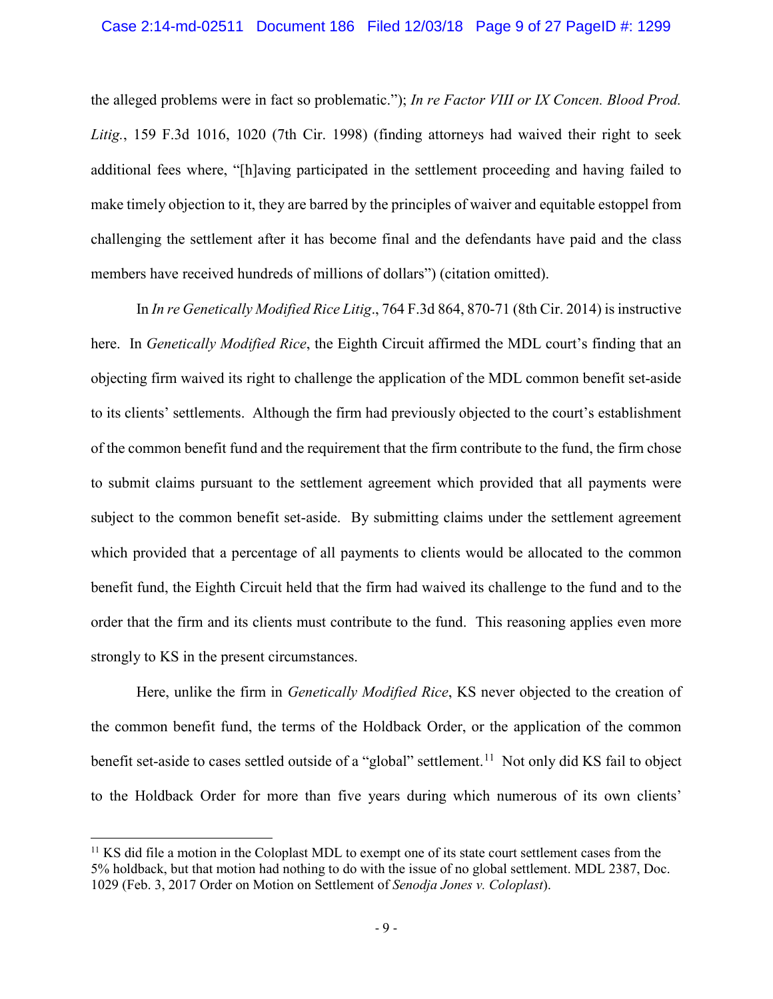the alleged problems were in fact so problematic."); *In re Factor VIII or IX Concen. Blood Prod. Litig.*, 159 F.3d 1016, 1020 (7th Cir. 1998) (finding attorneys had waived their right to seek additional fees where, "[h]aving participated in the settlement proceeding and having failed to make timely objection to it, they are barred by the principles of waiver and equitable estoppel from challenging the settlement after it has become final and the defendants have paid and the class members have received hundreds of millions of dollars") (citation omitted).

In *In re Genetically Modified Rice Litig*., 764 F.3d 864, 870-71 (8th Cir. 2014) is instructive here. In *Genetically Modified Rice*, the Eighth Circuit affirmed the MDL court's finding that an objecting firm waived its right to challenge the application of the MDL common benefit set-aside to its clients' settlements. Although the firm had previously objected to the court's establishment of the common benefit fund and the requirement that the firm contribute to the fund, the firm chose to submit claims pursuant to the settlement agreement which provided that all payments were subject to the common benefit set-aside. By submitting claims under the settlement agreement which provided that a percentage of all payments to clients would be allocated to the common benefit fund, the Eighth Circuit held that the firm had waived its challenge to the fund and to the order that the firm and its clients must contribute to the fund. This reasoning applies even more strongly to KS in the present circumstances.

Here, unlike the firm in *Genetically Modified Rice*, KS never objected to the creation of the common benefit fund, the terms of the Holdback Order, or the application of the common benefit set-aside to cases settled outside of a "global" settlement.<sup>11</sup> Not only did KS fail to object to the Holdback Order for more than five years during which numerous of its own clients'

<span id="page-8-0"></span><sup>&</sup>lt;sup>11</sup> KS did file a motion in the Coloplast MDL to exempt one of its state court settlement cases from the 5% holdback, but that motion had nothing to do with the issue of no global settlement. MDL 2387, Doc. 1029 (Feb. 3, 2017 Order on Motion on Settlement of *Senodja Jones v. Coloplast*).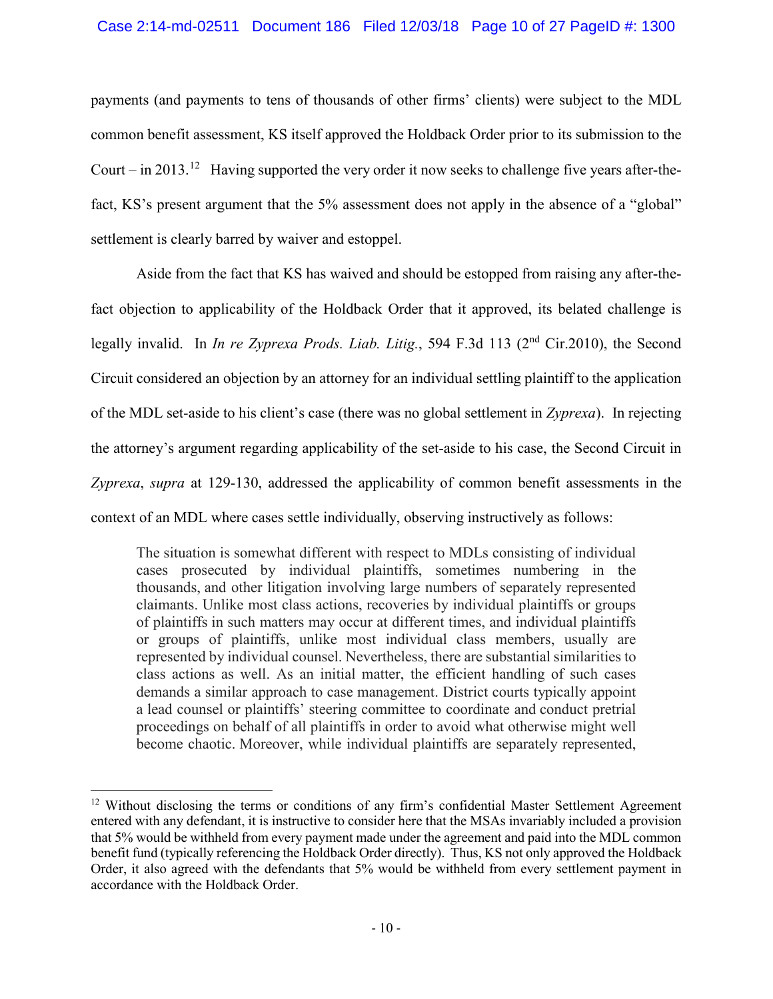## Case 2:14-md-02511 Document 186 Filed 12/03/18 Page 10 of 27 PageID #: 1300

payments (and payments to tens of thousands of other firms' clients) were subject to the MDL common benefit assessment, KS itself approved the Holdback Order prior to its submission to the Court – in 2013.<sup>[12](#page-9-0)</sup> Having supported the very order it now seeks to challenge five years after-thefact, KS's present argument that the 5% assessment does not apply in the absence of a "global" settlement is clearly barred by waiver and estoppel.

Aside from the fact that KS has waived and should be estopped from raising any after-thefact objection to applicability of the Holdback Order that it approved, its belated challenge is legally invalid. In *In re Zyprexa Prods. Liab. Litig.*, 594 F.3d 113 (2nd Cir.2010), the Second Circuit considered an objection by an attorney for an individual settling plaintiff to the application of the MDL set-aside to his client's case (there was no global settlement in *Zyprexa*). In rejecting the attorney's argument regarding applicability of the set-aside to his case, the Second Circuit in *Zyprexa*, *supra* at 129-130, addressed the applicability of common benefit assessments in the context of an MDL where cases settle individually, observing instructively as follows:

The situation is somewhat different with respect to MDLs consisting of individual cases prosecuted by individual plaintiffs, sometimes numbering in the thousands, and other litigation involving large numbers of separately represented claimants. Unlike most class actions, recoveries by individual plaintiffs or groups of plaintiffs in such matters may occur at different times, and individual plaintiffs or groups of plaintiffs, unlike most individual class members, usually are represented by individual counsel. Nevertheless, there are substantial similarities to class actions as well. As an initial matter, the efficient handling of such cases demands a similar approach to case management. District courts typically appoint a lead counsel or plaintiffs' steering committee to coordinate and conduct pretrial proceedings on behalf of all plaintiffs in order to avoid what otherwise might well become chaotic. Moreover, while individual plaintiffs are separately represented,

<span id="page-9-0"></span><sup>&</sup>lt;sup>12</sup> Without disclosing the terms or conditions of any firm's confidential Master Settlement Agreement entered with any defendant, it is instructive to consider here that the MSAs invariably included a provision that 5% would be withheld from every payment made under the agreement and paid into the MDL common benefit fund (typically referencing the Holdback Order directly). Thus, KS not only approved the Holdback Order, it also agreed with the defendants that 5% would be withheld from every settlement payment in accordance with the Holdback Order.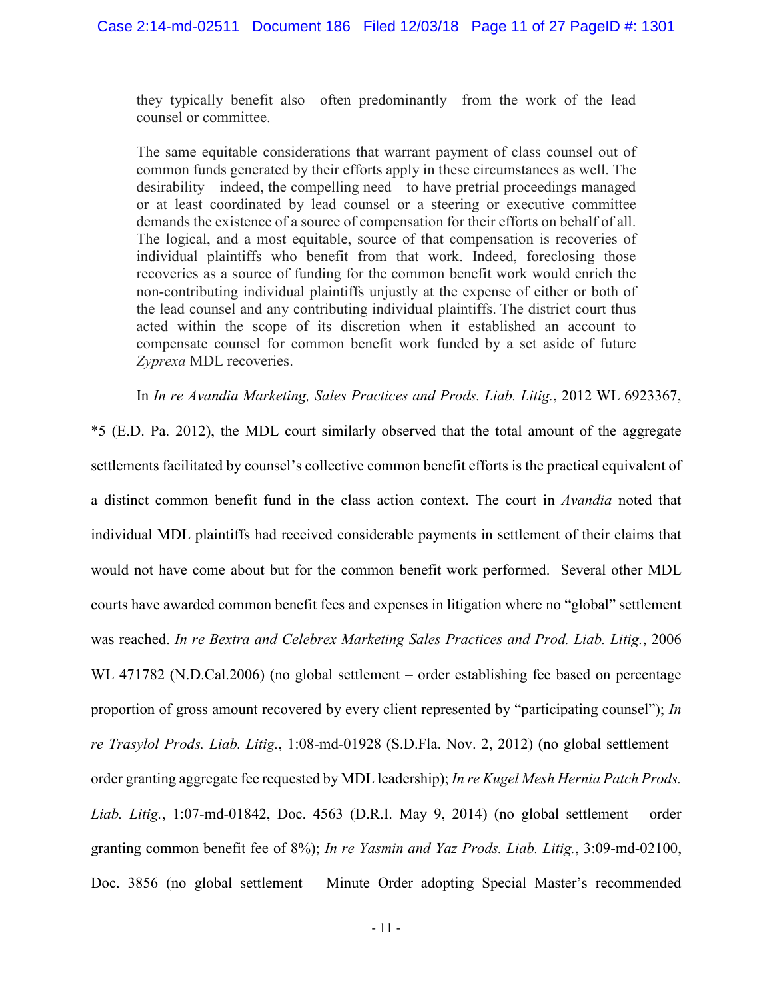they typically benefit also—often predominantly—from the work of the lead counsel or committee.

The same equitable considerations that warrant payment of class counsel out of common funds generated by their efforts apply in these circumstances as well. The desirability—indeed, the compelling need—to have pretrial proceedings managed or at least coordinated by lead counsel or a steering or executive committee demands the existence of a source of compensation for their efforts on behalf of all. The logical, and a most equitable, source of that compensation is recoveries of individual plaintiffs who benefit from that work. Indeed, foreclosing those recoveries as a source of funding for the common benefit work would enrich the non-contributing individual plaintiffs unjustly at the expense of either or both of the lead counsel and any contributing individual plaintiffs. The district court thus acted within the scope of its discretion when it established an account to compensate counsel for common benefit work funded by a set aside of future *Zyprexa* MDL recoveries.

In *In re Avandia Marketing, Sales Practices and Prods. Liab. Litig.*, 2012 WL 6923367,

\*5 (E.D. Pa. 2012), the MDL court similarly observed that the total amount of the aggregate settlements facilitated by counsel's collective common benefit efforts is the practical equivalent of a distinct common benefit fund in the class action context. The court in *Avandia* noted that individual MDL plaintiffs had received considerable payments in settlement of their claims that would not have come about but for the common benefit work performed. Several other MDL courts have awarded common benefit fees and expenses in litigation where no "global" settlement was reached. *In re Bextra and Celebrex Marketing Sales Practices and Prod. Liab. Litig.*, 2006 WL 471782 (N.D.Cal.2006) (no global settlement – order establishing fee based on percentage proportion of gross amount recovered by every client represented by "participating counsel"); *In re Trasylol Prods. Liab. Litig.*, 1:08-md-01928 (S.D.Fla. Nov. 2, 2012) (no global settlement – order granting aggregate fee requested by MDL leadership); *In re Kugel Mesh Hernia Patch Prods. Liab. Litig.*, 1:07-md-01842, Doc. 4563 (D.R.I. May 9, 2014) (no global settlement – order granting common benefit fee of 8%); *In re Yasmin and Yaz Prods. Liab. Litig.*, 3:09-md-02100, Doc. 3856 (no global settlement – Minute Order adopting Special Master's recommended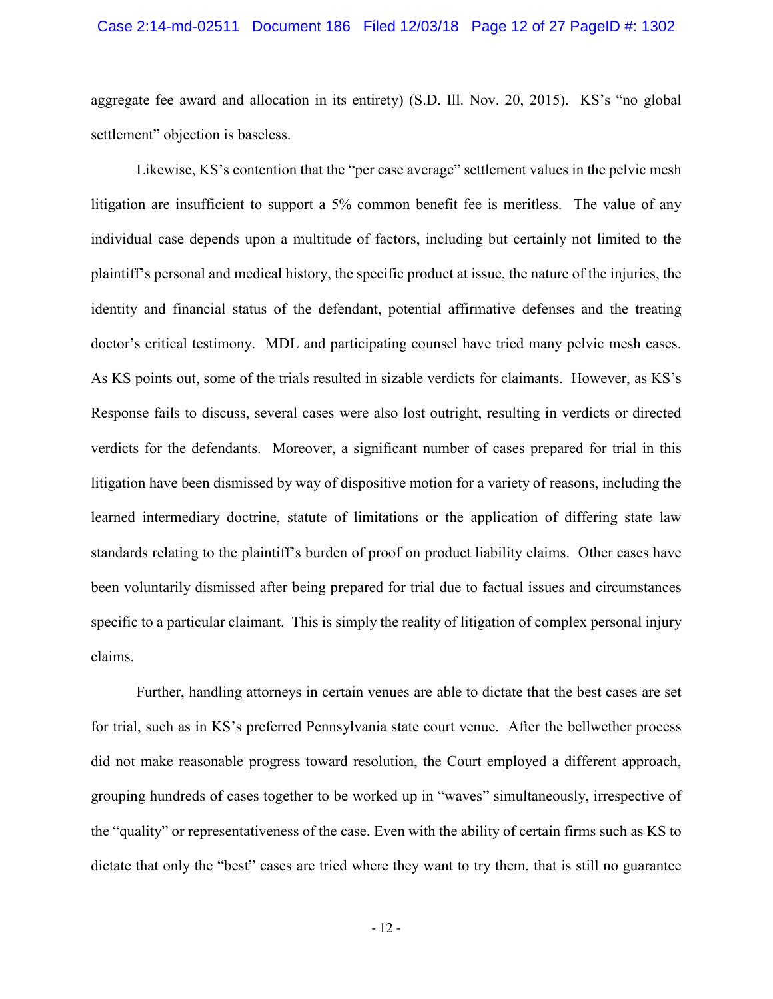#### Case 2:14-md-02511 Document 186 Filed 12/03/18 Page 12 of 27 PageID #: 1302

aggregate fee award and allocation in its entirety) (S.D. Ill. Nov. 20, 2015). KS's "no global settlement" objection is baseless.

Likewise, KS's contention that the "per case average" settlement values in the pelvic mesh litigation are insufficient to support a 5% common benefit fee is meritless. The value of any individual case depends upon a multitude of factors, including but certainly not limited to the plaintiff's personal and medical history, the specific product at issue, the nature of the injuries, the identity and financial status of the defendant, potential affirmative defenses and the treating doctor's critical testimony. MDL and participating counsel have tried many pelvic mesh cases. As KS points out, some of the trials resulted in sizable verdicts for claimants. However, as KS's Response fails to discuss, several cases were also lost outright, resulting in verdicts or directed verdicts for the defendants. Moreover, a significant number of cases prepared for trial in this litigation have been dismissed by way of dispositive motion for a variety of reasons, including the learned intermediary doctrine, statute of limitations or the application of differing state law standards relating to the plaintiff's burden of proof on product liability claims. Other cases have been voluntarily dismissed after being prepared for trial due to factual issues and circumstances specific to a particular claimant. This is simply the reality of litigation of complex personal injury claims.

Further, handling attorneys in certain venues are able to dictate that the best cases are set for trial, such as in KS's preferred Pennsylvania state court venue. After the bellwether process did not make reasonable progress toward resolution, the Court employed a different approach, grouping hundreds of cases together to be worked up in "waves" simultaneously, irrespective of the "quality" or representativeness of the case. Even with the ability of certain firms such as KS to dictate that only the "best" cases are tried where they want to try them, that is still no guarantee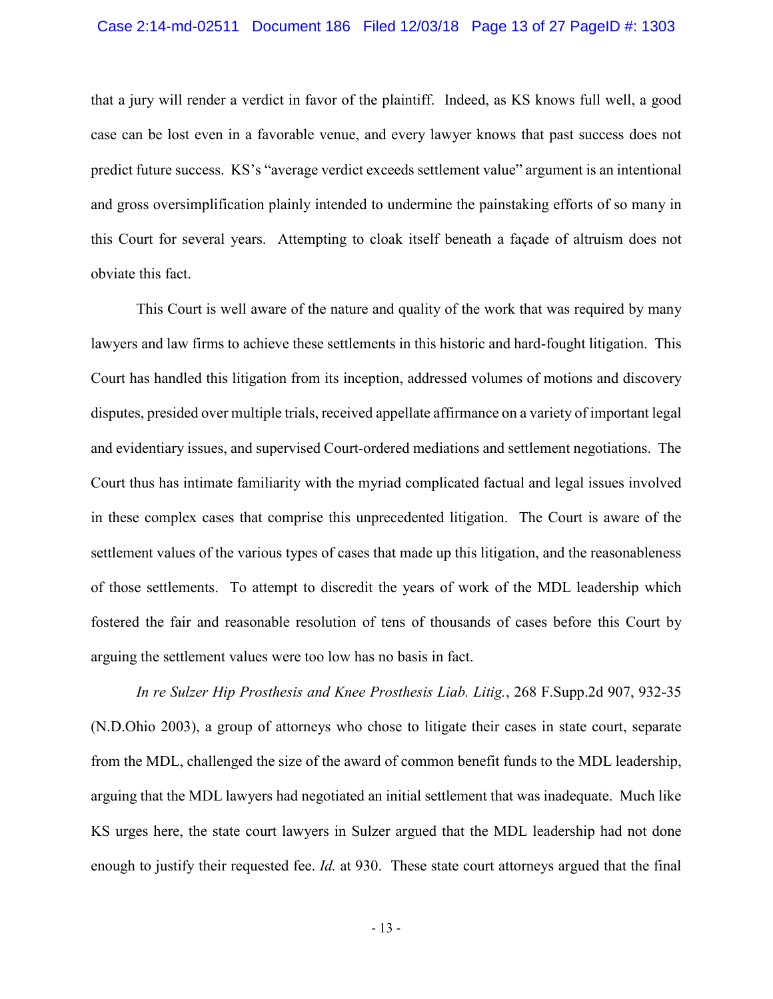#### Case 2:14-md-02511 Document 186 Filed 12/03/18 Page 13 of 27 PageID #: 1303

that a jury will render a verdict in favor of the plaintiff. Indeed, as KS knows full well, a good case can be lost even in a favorable venue, and every lawyer knows that past success does not predict future success. KS's "average verdict exceeds settlement value" argument is an intentional and gross oversimplification plainly intended to undermine the painstaking efforts of so many in this Court for several years. Attempting to cloak itself beneath a façade of altruism does not obviate this fact.

This Court is well aware of the nature and quality of the work that was required by many lawyers and law firms to achieve these settlements in this historic and hard-fought litigation. This Court has handled this litigation from its inception, addressed volumes of motions and discovery disputes, presided over multiple trials, received appellate affirmance on a variety of important legal and evidentiary issues, and supervised Court-ordered mediations and settlement negotiations. The Court thus has intimate familiarity with the myriad complicated factual and legal issues involved in these complex cases that comprise this unprecedented litigation. The Court is aware of the settlement values of the various types of cases that made up this litigation, and the reasonableness of those settlements. To attempt to discredit the years of work of the MDL leadership which fostered the fair and reasonable resolution of tens of thousands of cases before this Court by arguing the settlement values were too low has no basis in fact.

*In re Sulzer Hip Prosthesis and Knee Prosthesis Liab. Litig.*, 268 F.Supp.2d 907, 932-35 (N.D.Ohio 2003), a group of attorneys who chose to litigate their cases in state court, separate from the MDL, challenged the size of the award of common benefit funds to the MDL leadership, arguing that the MDL lawyers had negotiated an initial settlement that was inadequate. Much like KS urges here, the state court lawyers in Sulzer argued that the MDL leadership had not done enough to justify their requested fee. *Id.* at 930. These state court attorneys argued that the final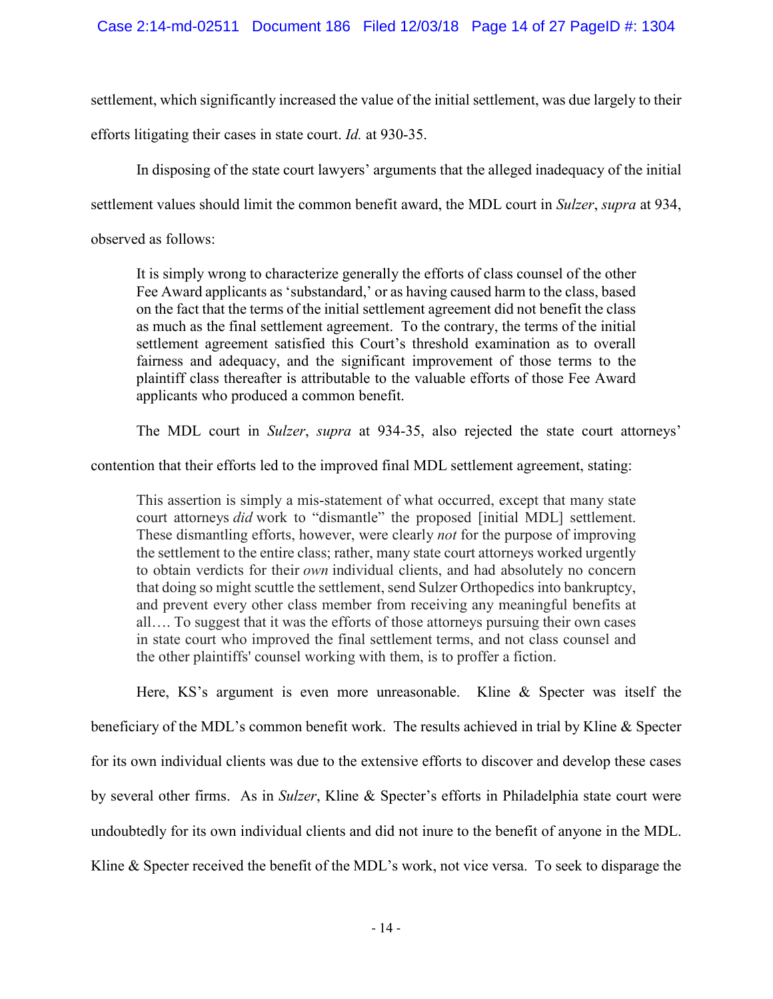settlement, which significantly increased the value of the initial settlement, was due largely to their

efforts litigating their cases in state court. *Id.* at 930-35.

In disposing of the state court lawyers' arguments that the alleged inadequacy of the initial

settlement values should limit the common benefit award, the MDL court in *Sulzer*, *supra* at 934,

observed as follows:

It is simply wrong to characterize generally the efforts of class counsel of the other Fee Award applicants as 'substandard,' or as having caused harm to the class, based on the fact that the terms of the initial settlement agreement did not benefit the class as much as the final settlement agreement. To the contrary, the terms of the initial settlement agreement satisfied this Court's threshold examination as to overall fairness and adequacy, and the significant improvement of those terms to the plaintiff class thereafter is attributable to the valuable efforts of those Fee Award applicants who produced a common benefit.

The MDL court in *Sulzer*, *supra* at 934-35, also rejected the state court attorneys'

contention that their efforts led to the improved final MDL settlement agreement, stating:

This assertion is simply a mis-statement of what occurred, except that many state court attorneys *did* work to "dismantle" the proposed [initial MDL] settlement. These dismantling efforts, however, were clearly *not* for the purpose of improving the settlement to the entire class; rather, many state court attorneys worked urgently to obtain verdicts for their *own* individual clients, and had absolutely no concern that doing so might scuttle the settlement, send Sulzer Orthopedics into bankruptcy, and prevent every other class member from receiving any meaningful benefits at all…. To suggest that it was the efforts of those attorneys pursuing their own cases in state court who improved the final settlement terms, and not class counsel and the other plaintiffs' counsel working with them, is to proffer a fiction.

Here, KS's argument is even more unreasonable. Kline & Specter was itself the beneficiary of the MDL's common benefit work. The results achieved in trial by Kline & Specter for its own individual clients was due to the extensive efforts to discover and develop these cases by several other firms. As in *Sulzer*, Kline & Specter's efforts in Philadelphia state court were undoubtedly for its own individual clients and did not inure to the benefit of anyone in the MDL. Kline & Specter received the benefit of the MDL's work, not vice versa. To seek to disparage the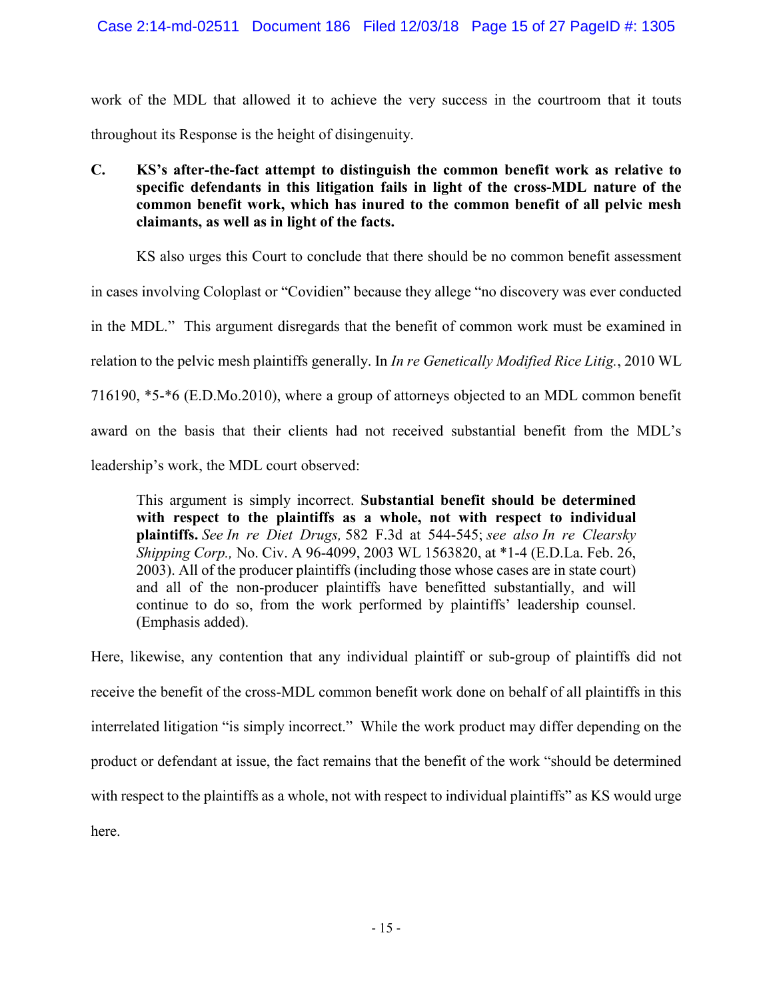work of the MDL that allowed it to achieve the very success in the courtroom that it touts throughout its Response is the height of disingenuity.

**C. KS's after-the-fact attempt to distinguish the common benefit work as relative to specific defendants in this litigation fails in light of the cross-MDL nature of the common benefit work, which has inured to the common benefit of all pelvic mesh claimants, as well as in light of the facts.**

KS also urges this Court to conclude that there should be no common benefit assessment

in cases involving Coloplast or "Covidien" because they allege "no discovery was ever conducted

in the MDL." This argument disregards that the benefit of common work must be examined in

relation to the pelvic mesh plaintiffs generally. In *In re Genetically Modified Rice Litig.*, 2010 WL

716190, \*5-\*6 (E.D.Mo.2010), where a group of attorneys objected to an MDL common benefit

award on the basis that their clients had not received substantial benefit from the MDL's

leadership's work, the MDL court observed:

This argument is simply incorrect. **Substantial benefit should be determined with respect to the plaintiffs as a whole, not with respect to individual plaintiffs.** *See In re Diet Drugs,* 582 F.3d at 544-545; *see also In re Clearsky Shipping Corp.,* No. Civ. A 96-4099, 2003 WL 1563820, at \*1-4 (E.D.La. Feb. 26, 2003). All of the producer plaintiffs (including those whose cases are in state court) and all of the non-producer plaintiffs have benefitted substantially, and will continue to do so, from the work performed by plaintiffs' leadership counsel. (Emphasis added).

Here, likewise, any contention that any individual plaintiff or sub-group of plaintiffs did not receive the benefit of the cross-MDL common benefit work done on behalf of all plaintiffs in this interrelated litigation "is simply incorrect." While the work product may differ depending on the product or defendant at issue, the fact remains that the benefit of the work "should be determined with respect to the plaintiffs as a whole, not with respect to individual plaintiffs" as KS would urge here.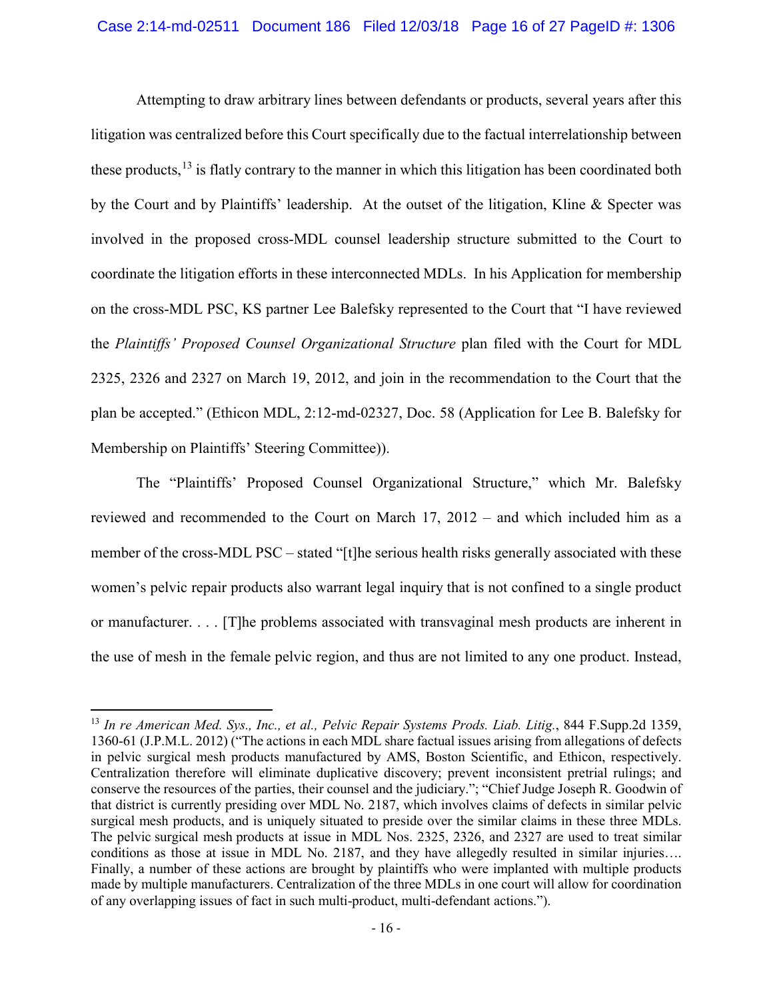### Case 2:14-md-02511 Document 186 Filed 12/03/18 Page 16 of 27 PageID #: 1306

Attempting to draw arbitrary lines between defendants or products, several years after this litigation was centralized before this Court specifically due to the factual interrelationship between these products,  $^{13}$  $^{13}$  $^{13}$  is flatly contrary to the manner in which this litigation has been coordinated both by the Court and by Plaintiffs' leadership. At the outset of the litigation, Kline & Specter was involved in the proposed cross-MDL counsel leadership structure submitted to the Court to coordinate the litigation efforts in these interconnected MDLs. In his Application for membership on the cross-MDL PSC, KS partner Lee Balefsky represented to the Court that "I have reviewed the *Plaintiffs' Proposed Counsel Organizational Structure* plan filed with the Court for MDL 2325, 2326 and 2327 on March 19, 2012, and join in the recommendation to the Court that the plan be accepted." (Ethicon MDL, 2:12-md-02327, Doc. 58 (Application for Lee B. Balefsky for Membership on Plaintiffs' Steering Committee)).

The "Plaintiffs' Proposed Counsel Organizational Structure," which Mr. Balefsky reviewed and recommended to the Court on March 17, 2012 – and which included him as a member of the cross-MDL PSC – stated "[t]he serious health risks generally associated with these women's pelvic repair products also warrant legal inquiry that is not confined to a single product or manufacturer. . . . [T]he problems associated with transvaginal mesh products are inherent in the use of mesh in the female pelvic region, and thus are not limited to any one product. Instead,

<span id="page-15-0"></span><sup>13</sup> *In re American Med. Sys., Inc., et al., Pelvic Repair Systems Prods. Liab. Litig.*, 844 F.Supp.2d 1359, 1360-61 (J.P.M.L. 2012) ("The actions in each MDL share factual issues arising from allegations of defects in pelvic surgical mesh products manufactured by AMS, Boston Scientific, and Ethicon, respectively. Centralization therefore will eliminate duplicative discovery; prevent inconsistent pretrial rulings; and conserve the resources of the parties, their counsel and the judiciary."; "Chief Judge Joseph R. Goodwin of that district is currently presiding over MDL No. 2187, which involves claims of defects in similar pelvic surgical mesh products, and is uniquely situated to preside over the similar claims in these three MDLs. The pelvic surgical mesh products at issue in MDL Nos. 2325, 2326, and 2327 are used to treat similar conditions as those at issue in MDL No. 2187, and they have allegedly resulted in similar injuries…. Finally, a number of these actions are brought by plaintiffs who were implanted with multiple products made by multiple manufacturers. Centralization of the three MDLs in one court will allow for coordination of any overlapping issues of fact in such multi-product, multi-defendant actions.").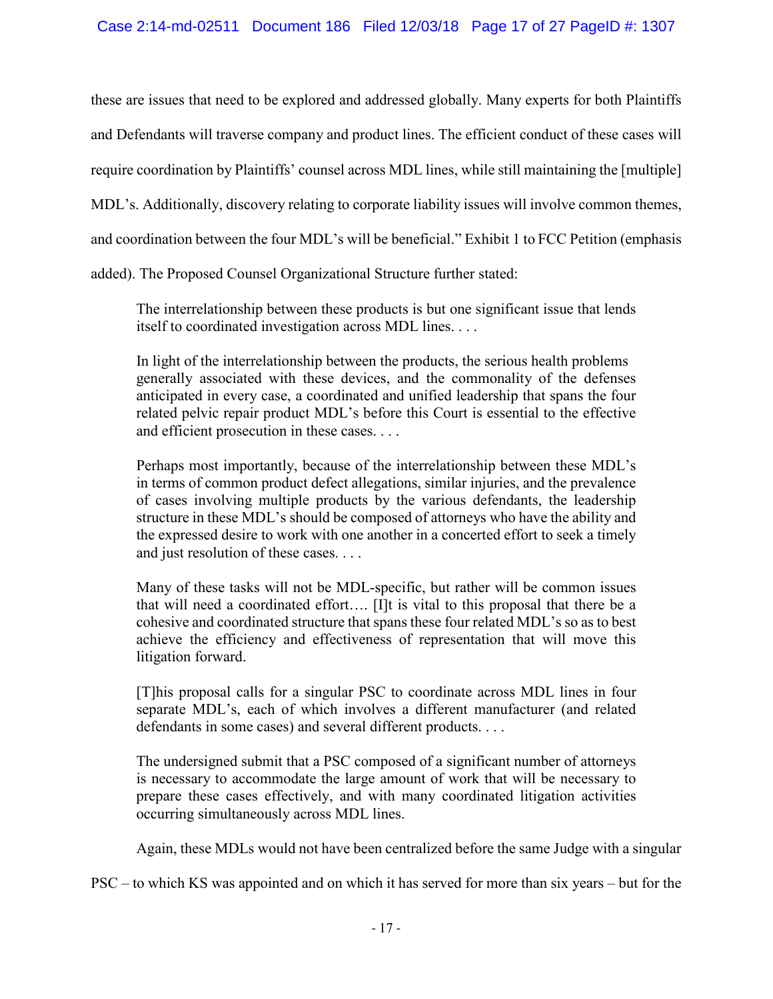these are issues that need to be explored and addressed globally. Many experts for both Plaintiffs and Defendants will traverse company and product lines. The efficient conduct of these cases will require coordination by Plaintiffs' counsel across MDL lines, while still maintaining the [multiple] MDL's. Additionally, discovery relating to corporate liability issues will involve common themes, and coordination between the four MDL's will be beneficial." Exhibit 1 to FCC Petition (emphasis added). The Proposed Counsel Organizational Structure further stated:

The interrelationship between these products is but one significant issue that lends itself to coordinated investigation across MDL lines. . . .

In light of the interrelationship between the products, the serious health problems generally associated with these devices, and the commonality of the defenses anticipated in every case, a coordinated and unified leadership that spans the four related pelvic repair product MDL's before this Court is essential to the effective and efficient prosecution in these cases. . . .

Perhaps most importantly, because of the interrelationship between these MDL's in terms of common product defect allegations, similar injuries, and the prevalence of cases involving multiple products by the various defendants, the leadership structure in these MDL's should be composed of attorneys who have the ability and the expressed desire to work with one another in a concerted effort to seek a timely and just resolution of these cases. . . .

Many of these tasks will not be MDL-specific, but rather will be common issues that will need a coordinated effort…. [I]t is vital to this proposal that there be a cohesive and coordinated structure that spans these four related MDL's so as to best achieve the efficiency and effectiveness of representation that will move this litigation forward.

[T]his proposal calls for a singular PSC to coordinate across MDL lines in four separate MDL's, each of which involves a different manufacturer (and related defendants in some cases) and several different products. . . .

The undersigned submit that a PSC composed of a significant number of attorneys is necessary to accommodate the large amount of work that will be necessary to prepare these cases effectively, and with many coordinated litigation activities occurring simultaneously across MDL lines.

Again, these MDLs would not have been centralized before the same Judge with a singular

PSC – to which KS was appointed and on which it has served for more than six years – but for the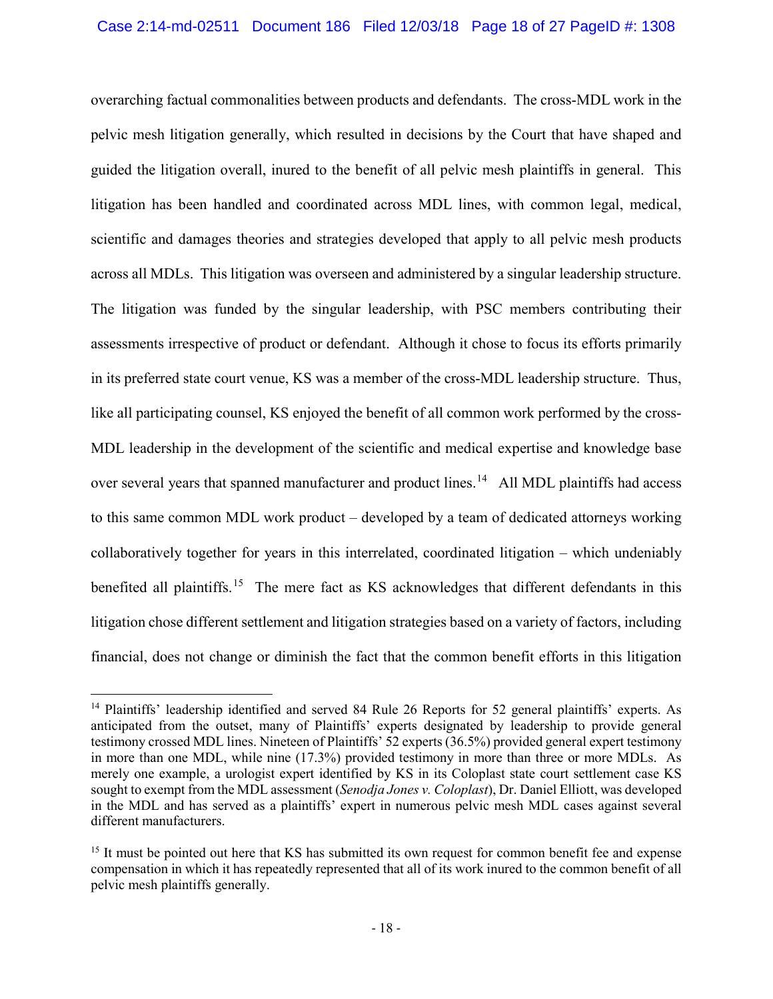overarching factual commonalities between products and defendants. The cross-MDL work in the pelvic mesh litigation generally, which resulted in decisions by the Court that have shaped and guided the litigation overall, inured to the benefit of all pelvic mesh plaintiffs in general. This litigation has been handled and coordinated across MDL lines, with common legal, medical, scientific and damages theories and strategies developed that apply to all pelvic mesh products across all MDLs. This litigation was overseen and administered by a singular leadership structure. The litigation was funded by the singular leadership, with PSC members contributing their assessments irrespective of product or defendant. Although it chose to focus its efforts primarily in its preferred state court venue, KS was a member of the cross-MDL leadership structure. Thus, like all participating counsel, KS enjoyed the benefit of all common work performed by the cross-MDL leadership in the development of the scientific and medical expertise and knowledge base over several years that spanned manufacturer and product lines.<sup>[14](#page-17-0)</sup> All MDL plaintiffs had access to this same common MDL work product – developed by a team of dedicated attorneys working collaboratively together for years in this interrelated, coordinated litigation – which undeniably benefited all plaintiffs.<sup>15</sup> The mere fact as KS acknowledges that different defendants in this litigation chose different settlement and litigation strategies based on a variety of factors, including financial, does not change or diminish the fact that the common benefit efforts in this litigation

<span id="page-17-0"></span><sup>&</sup>lt;sup>14</sup> Plaintiffs' leadership identified and served 84 Rule 26 Reports for 52 general plaintiffs' experts. As anticipated from the outset, many of Plaintiffs' experts designated by leadership to provide general testimony crossed MDL lines. Nineteen of Plaintiffs' 52 experts (36.5%) provided general expert testimony in more than one MDL, while nine (17.3%) provided testimony in more than three or more MDLs. As merely one example, a urologist expert identified by KS in its Coloplast state court settlement case KS sought to exempt from the MDL assessment (*Senodja Jones v. Coloplast*), Dr. Daniel Elliott, was developed in the MDL and has served as a plaintiffs' expert in numerous pelvic mesh MDL cases against several different manufacturers.

<span id="page-17-1"></span><sup>&</sup>lt;sup>15</sup> It must be pointed out here that KS has submitted its own request for common benefit fee and expense compensation in which it has repeatedly represented that all of its work inured to the common benefit of all pelvic mesh plaintiffs generally.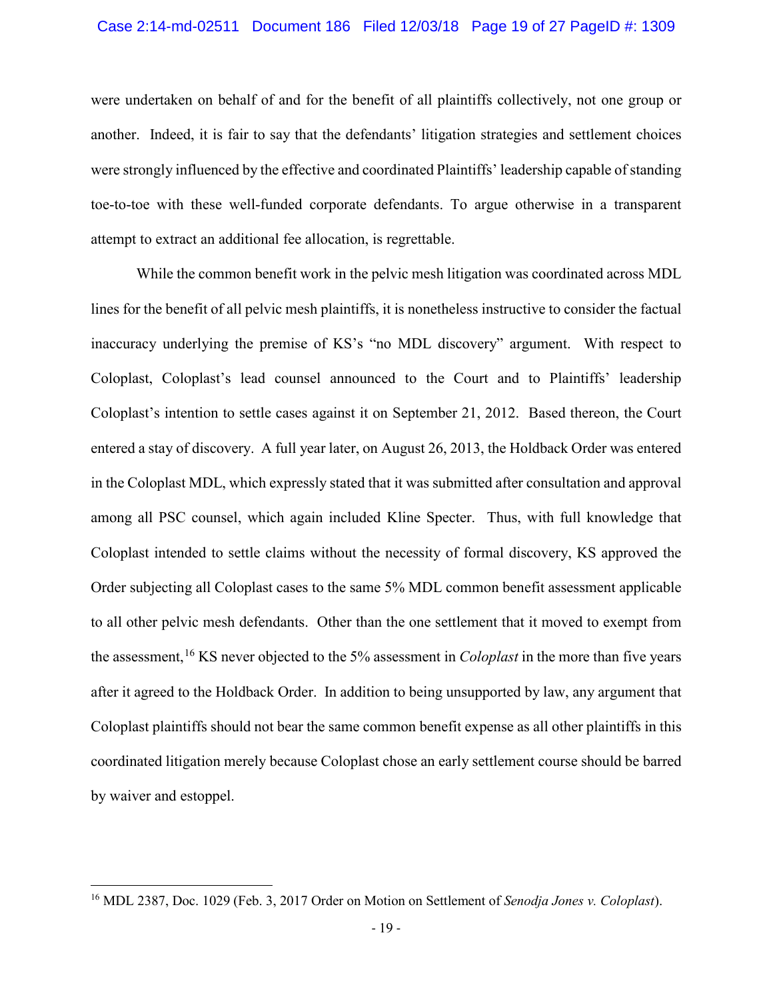#### Case 2:14-md-02511 Document 186 Filed 12/03/18 Page 19 of 27 PageID #: 1309

were undertaken on behalf of and for the benefit of all plaintiffs collectively, not one group or another. Indeed, it is fair to say that the defendants' litigation strategies and settlement choices were strongly influenced by the effective and coordinated Plaintiffs' leadership capable of standing toe-to-toe with these well-funded corporate defendants. To argue otherwise in a transparent attempt to extract an additional fee allocation, is regrettable.

While the common benefit work in the pelvic mesh litigation was coordinated across MDL lines for the benefit of all pelvic mesh plaintiffs, it is nonetheless instructive to consider the factual inaccuracy underlying the premise of KS's "no MDL discovery" argument. With respect to Coloplast, Coloplast's lead counsel announced to the Court and to Plaintiffs' leadership Coloplast's intention to settle cases against it on September 21, 2012. Based thereon, the Court entered a stay of discovery. A full year later, on August 26, 2013, the Holdback Order was entered in the Coloplast MDL, which expressly stated that it was submitted after consultation and approval among all PSC counsel, which again included Kline Specter. Thus, with full knowledge that Coloplast intended to settle claims without the necessity of formal discovery, KS approved the Order subjecting all Coloplast cases to the same 5% MDL common benefit assessment applicable to all other pelvic mesh defendants. Other than the one settlement that it moved to exempt from the assessment,[16](#page-18-0) KS never objected to the 5% assessment in *Coloplast* in the more than five years after it agreed to the Holdback Order. In addition to being unsupported by law, any argument that Coloplast plaintiffs should not bear the same common benefit expense as all other plaintiffs in this coordinated litigation merely because Coloplast chose an early settlement course should be barred by waiver and estoppel.

<span id="page-18-0"></span><sup>16</sup> MDL 2387, Doc. 1029 (Feb. 3, 2017 Order on Motion on Settlement of *Senodja Jones v. Coloplast*).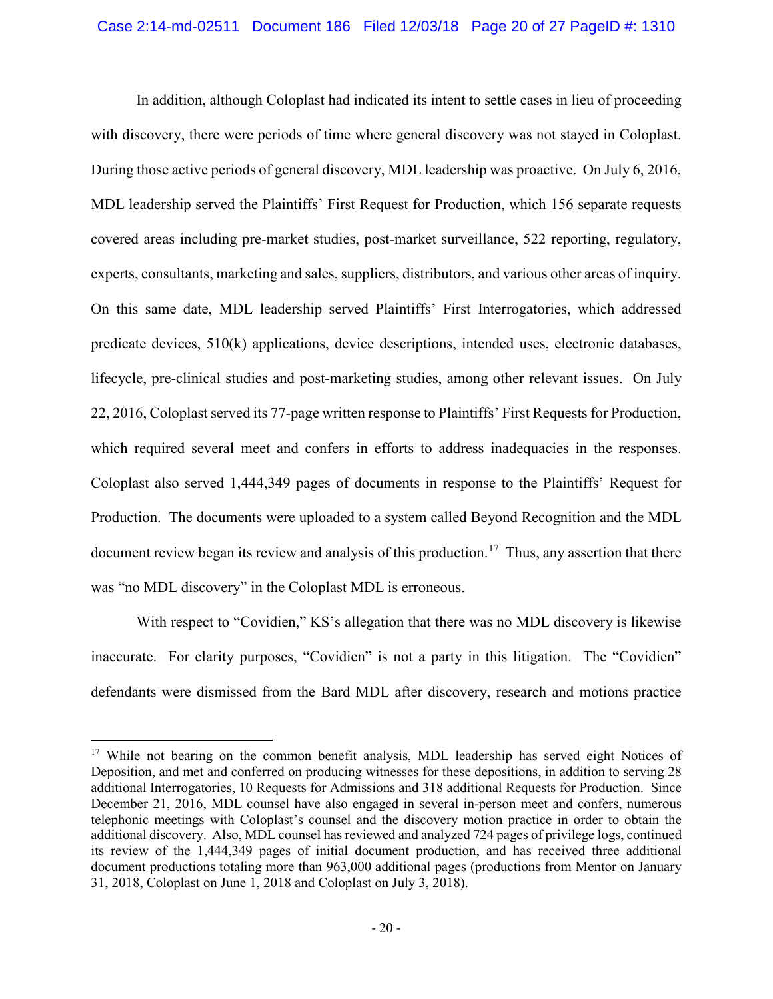In addition, although Coloplast had indicated its intent to settle cases in lieu of proceeding with discovery, there were periods of time where general discovery was not stayed in Coloplast. During those active periods of general discovery, MDL leadership was proactive. On July 6, 2016, MDL leadership served the Plaintiffs' First Request for Production, which 156 separate requests covered areas including pre-market studies, post-market surveillance, 522 reporting, regulatory, experts, consultants, marketing and sales, suppliers, distributors, and various other areas of inquiry. On this same date, MDL leadership served Plaintiffs' First Interrogatories, which addressed predicate devices, 510(k) applications, device descriptions, intended uses, electronic databases, lifecycle, pre-clinical studies and post-marketing studies, among other relevant issues. On July 22, 2016, Coloplast served its 77-page written response to Plaintiffs' First Requests for Production, which required several meet and confers in efforts to address inadequacies in the responses. Coloplast also served 1,444,349 pages of documents in response to the Plaintiffs' Request for Production. The documents were uploaded to a system called Beyond Recognition and the MDL document review began its review and analysis of this production.<sup>[17](#page-19-0)</sup> Thus, any assertion that there was "no MDL discovery" in the Coloplast MDL is erroneous.

With respect to "Covidien," KS's allegation that there was no MDL discovery is likewise inaccurate. For clarity purposes, "Covidien" is not a party in this litigation. The "Covidien" defendants were dismissed from the Bard MDL after discovery, research and motions practice

<span id="page-19-0"></span><sup>&</sup>lt;sup>17</sup> While not bearing on the common benefit analysis, MDL leadership has served eight Notices of Deposition, and met and conferred on producing witnesses for these depositions, in addition to serving 28 additional Interrogatories, 10 Requests for Admissions and 318 additional Requests for Production. Since December 21, 2016, MDL counsel have also engaged in several in-person meet and confers, numerous telephonic meetings with Coloplast's counsel and the discovery motion practice in order to obtain the additional discovery. Also, MDL counsel has reviewed and analyzed 724 pages of privilege logs, continued its review of the 1,444,349 pages of initial document production, and has received three additional document productions totaling more than 963,000 additional pages (productions from Mentor on January 31, 2018, Coloplast on June 1, 2018 and Coloplast on July 3, 2018).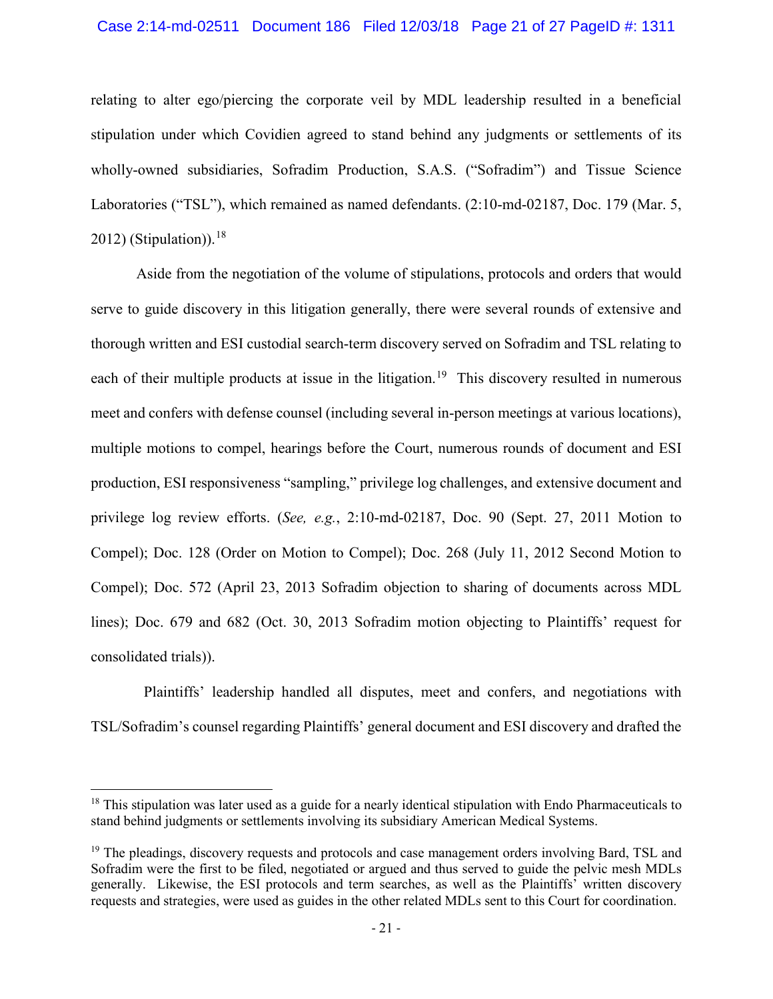### Case 2:14-md-02511 Document 186 Filed 12/03/18 Page 21 of 27 PageID #: 1311

relating to alter ego/piercing the corporate veil by MDL leadership resulted in a beneficial stipulation under which Covidien agreed to stand behind any judgments or settlements of its wholly-owned subsidiaries, Sofradim Production, S.A.S. ("Sofradim") and Tissue Science Laboratories ("TSL"), which remained as named defendants. (2:10-md-02187, Doc. 179 (Mar. 5, 2012) (Stipulation)). $18$ 

Aside from the negotiation of the volume of stipulations, protocols and orders that would serve to guide discovery in this litigation generally, there were several rounds of extensive and thorough written and ESI custodial search-term discovery served on Sofradim and TSL relating to each of their multiple products at issue in the litigation.<sup>[19](#page-20-1)</sup> This discovery resulted in numerous meet and confers with defense counsel (including several in-person meetings at various locations), multiple motions to compel, hearings before the Court, numerous rounds of document and ESI production, ESI responsiveness "sampling," privilege log challenges, and extensive document and privilege log review efforts. (*See, e.g.*, 2:10-md-02187, Doc. 90 (Sept. 27, 2011 Motion to Compel); Doc. 128 (Order on Motion to Compel); Doc. 268 (July 11, 2012 Second Motion to Compel); Doc. 572 (April 23, 2013 Sofradim objection to sharing of documents across MDL lines); Doc. 679 and 682 (Oct. 30, 2013 Sofradim motion objecting to Plaintiffs' request for consolidated trials)).

 Plaintiffs' leadership handled all disputes, meet and confers, and negotiations with TSL/Sofradim's counsel regarding Plaintiffs' general document and ESI discovery and drafted the

<span id="page-20-0"></span><sup>&</sup>lt;sup>18</sup> This stipulation was later used as a guide for a nearly identical stipulation with Endo Pharmaceuticals to stand behind judgments or settlements involving its subsidiary American Medical Systems.

<span id="page-20-1"></span><sup>&</sup>lt;sup>19</sup> The pleadings, discovery requests and protocols and case management orders involving Bard, TSL and Sofradim were the first to be filed, negotiated or argued and thus served to guide the pelvic mesh MDLs generally. Likewise, the ESI protocols and term searches, as well as the Plaintiffs' written discovery requests and strategies, were used as guides in the other related MDLs sent to this Court for coordination.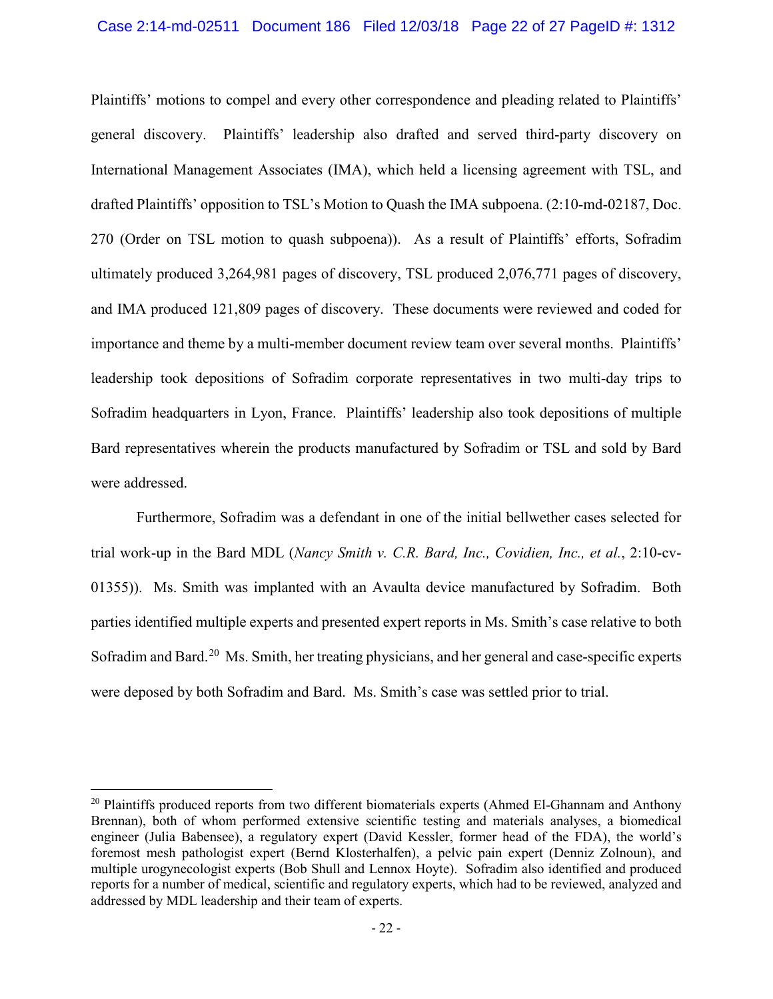### Case 2:14-md-02511 Document 186 Filed 12/03/18 Page 22 of 27 PageID #: 1312

Plaintiffs' motions to compel and every other correspondence and pleading related to Plaintiffs' general discovery. Plaintiffs' leadership also drafted and served third-party discovery on International Management Associates (IMA), which held a licensing agreement with TSL, and drafted Plaintiffs' opposition to TSL's Motion to Quash the IMA subpoena. (2:10-md-02187, Doc. 270 (Order on TSL motion to quash subpoena)). As a result of Plaintiffs' efforts, Sofradim ultimately produced 3,264,981 pages of discovery, TSL produced 2,076,771 pages of discovery, and IMA produced 121,809 pages of discovery. These documents were reviewed and coded for importance and theme by a multi-member document review team over several months. Plaintiffs' leadership took depositions of Sofradim corporate representatives in two multi-day trips to Sofradim headquarters in Lyon, France. Plaintiffs' leadership also took depositions of multiple Bard representatives wherein the products manufactured by Sofradim or TSL and sold by Bard were addressed.

Furthermore, Sofradim was a defendant in one of the initial bellwether cases selected for trial work-up in the Bard MDL (*Nancy Smith v. C.R. Bard, Inc., Covidien, Inc., et al.*, 2:10-cv-01355)). Ms. Smith was implanted with an Avaulta device manufactured by Sofradim. Both parties identified multiple experts and presented expert reports in Ms. Smith's case relative to both Sofradim and Bard.[20](#page-21-0) Ms. Smith, her treating physicians, and her general and case-specific experts were deposed by both Sofradim and Bard. Ms. Smith's case was settled prior to trial.

<span id="page-21-0"></span><sup>&</sup>lt;sup>20</sup> Plaintiffs produced reports from two different biomaterials experts (Ahmed El-Ghannam and Anthony Brennan), both of whom performed extensive scientific testing and materials analyses, a biomedical engineer (Julia Babensee), a regulatory expert (David Kessler, former head of the FDA), the world's foremost mesh pathologist expert (Bernd Klosterhalfen), a pelvic pain expert (Denniz Zolnoun), and multiple urogynecologist experts (Bob Shull and Lennox Hoyte). Sofradim also identified and produced reports for a number of medical, scientific and regulatory experts, which had to be reviewed, analyzed and addressed by MDL leadership and their team of experts.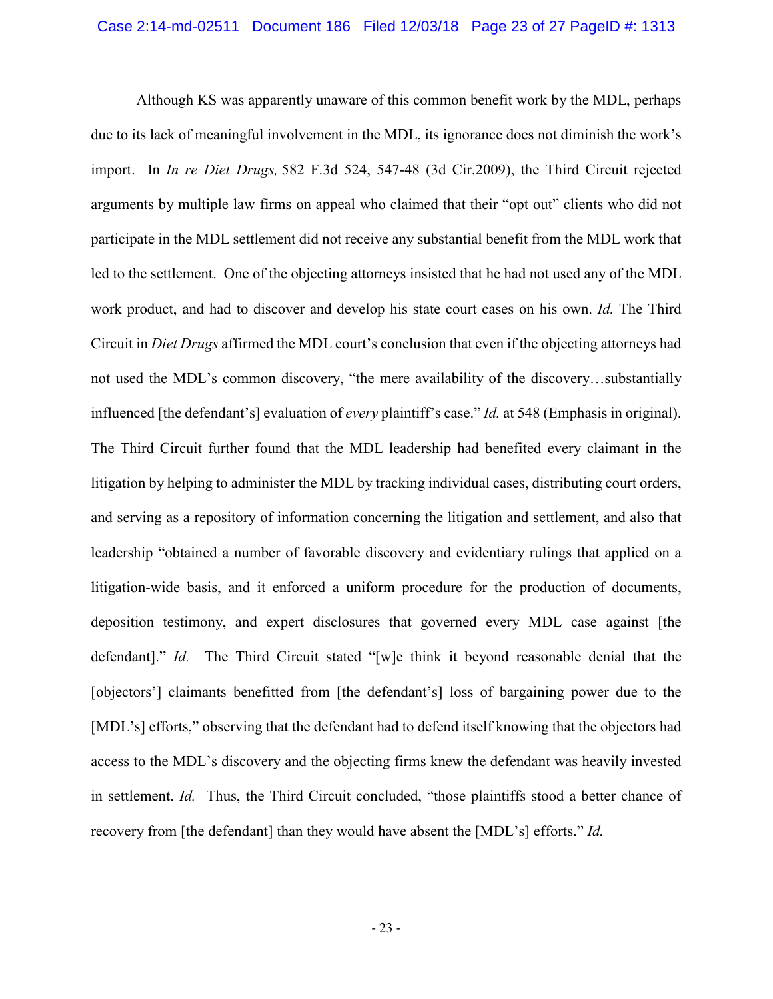Although KS was apparently unaware of this common benefit work by the MDL, perhaps due to its lack of meaningful involvement in the MDL, its ignorance does not diminish the work's import. In *In re Diet Drugs,* 582 F.3d 524, 547-48 (3d Cir.2009), the Third Circuit rejected arguments by multiple law firms on appeal who claimed that their "opt out" clients who did not participate in the MDL settlement did not receive any substantial benefit from the MDL work that led to the settlement. One of the objecting attorneys insisted that he had not used any of the MDL work product, and had to discover and develop his state court cases on his own. *Id.* The Third Circuit in *Diet Drugs* affirmed the MDL court's conclusion that even if the objecting attorneys had not used the MDL's common discovery, "the mere availability of the discovery…substantially influenced [the defendant's] evaluation of *every* plaintiff's case." *Id.* at 548 (Emphasis in original). The Third Circuit further found that the MDL leadership had benefited every claimant in the litigation by helping to administer the MDL by tracking individual cases, distributing court orders, and serving as a repository of information concerning the litigation and settlement, and also that leadership "obtained a number of favorable discovery and evidentiary rulings that applied on a litigation-wide basis, and it enforced a uniform procedure for the production of documents, deposition testimony, and expert disclosures that governed every MDL case against [the defendant]." *Id.* The Third Circuit stated "[w]e think it beyond reasonable denial that the [objectors'] claimants benefitted from [the defendant's] loss of bargaining power due to the [MDL's] efforts," observing that the defendant had to defend itself knowing that the objectors had access to the MDL's discovery and the objecting firms knew the defendant was heavily invested in settlement. *Id.* Thus, the Third Circuit concluded, "those plaintiffs stood a better chance of recovery from [the defendant] than they would have absent the [MDL's] efforts." *Id.*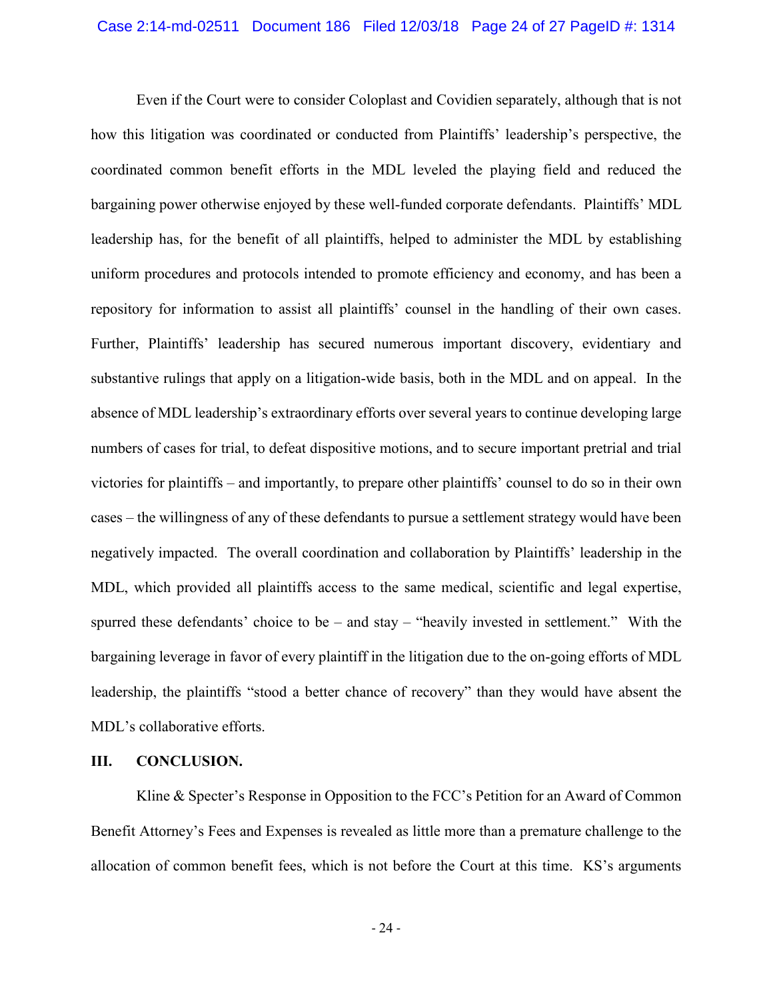Even if the Court were to consider Coloplast and Covidien separately, although that is not how this litigation was coordinated or conducted from Plaintiffs' leadership's perspective, the coordinated common benefit efforts in the MDL leveled the playing field and reduced the bargaining power otherwise enjoyed by these well-funded corporate defendants. Plaintiffs' MDL leadership has, for the benefit of all plaintiffs, helped to administer the MDL by establishing uniform procedures and protocols intended to promote efficiency and economy, and has been a repository for information to assist all plaintiffs' counsel in the handling of their own cases. Further, Plaintiffs' leadership has secured numerous important discovery, evidentiary and substantive rulings that apply on a litigation-wide basis, both in the MDL and on appeal. In the absence of MDL leadership's extraordinary efforts over several years to continue developing large numbers of cases for trial, to defeat dispositive motions, and to secure important pretrial and trial victories for plaintiffs – and importantly, to prepare other plaintiffs' counsel to do so in their own cases – the willingness of any of these defendants to pursue a settlement strategy would have been negatively impacted. The overall coordination and collaboration by Plaintiffs' leadership in the MDL, which provided all plaintiffs access to the same medical, scientific and legal expertise, spurred these defendants' choice to be – and stay – "heavily invested in settlement." With the bargaining leverage in favor of every plaintiff in the litigation due to the on-going efforts of MDL leadership, the plaintiffs "stood a better chance of recovery" than they would have absent the MDL's collaborative efforts.

#### **III. CONCLUSION.**

Kline & Specter's Response in Opposition to the FCC's Petition for an Award of Common Benefit Attorney's Fees and Expenses is revealed as little more than a premature challenge to the allocation of common benefit fees, which is not before the Court at this time. KS's arguments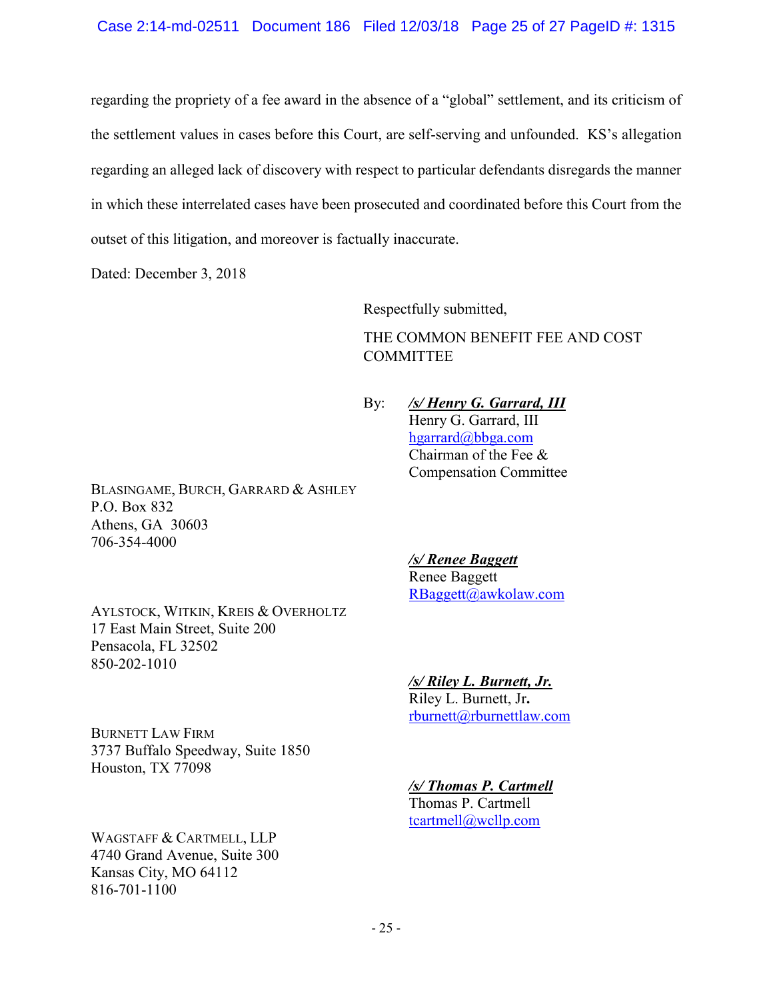regarding the propriety of a fee award in the absence of a "global" settlement, and its criticism of the settlement values in cases before this Court, are self-serving and unfounded. KS's allegation regarding an alleged lack of discovery with respect to particular defendants disregards the manner in which these interrelated cases have been prosecuted and coordinated before this Court from the outset of this litigation, and moreover is factually inaccurate.

Dated: December 3, 2018

Respectfully submitted,

THE COMMON BENEFIT FEE AND COST **COMMITTEE** 

By: */s/ Henry G. Garrard, III* Henry G. Garrard, III [hgarrard@bbga.com](mailto:hgarrard@bbga.com) Chairman of the Fee & Compensation Committee

BLASINGAME, BURCH, GARRARD & ASHLEY P.O. Box 832 Athens, GA 30603 706-354-4000

> */s/ Renee Baggett* Renee Baggett [RBaggett@awkolaw.com](mailto:RBaggett@awkolaw.com)

AYLSTOCK, WITKIN, KREIS & OVERHOLTZ 17 East Main Street, Suite 200 Pensacola, FL 32502 850-202-1010

BURNETT LAW FIRM 3737 Buffalo Speedway, Suite 1850 Houston, TX 77098

WAGSTAFF & CARTMELL, LLP 4740 Grand Avenue, Suite 300 Kansas City, MO 64112 816-701-1100

*/s/ Riley L. Burnett, Jr.* Riley L. Burnett, Jr**.**

[rburnett@rburnettlaw.com](mailto:rburnett@rburnettlaw.com)

*/s/ Thomas P. Cartmell* Thomas P. Cartmell [tcartmell@wcllp.com](mailto:tcartmell@wcllp.com)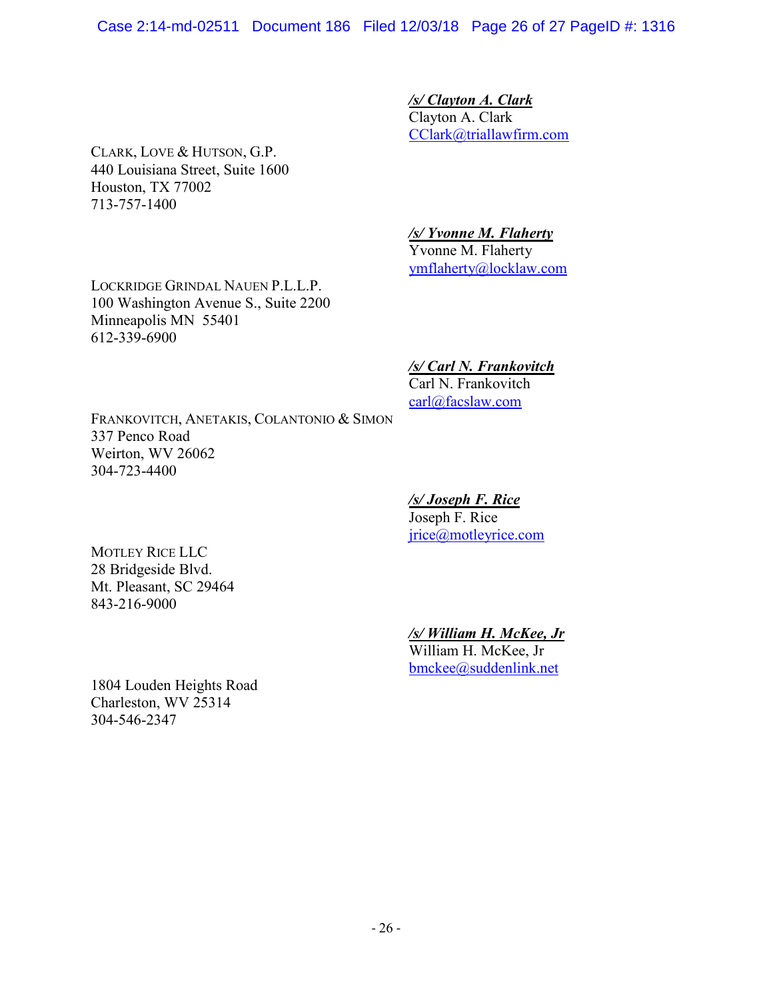Case 2:14-md-02511 Document 186 Filed 12/03/18 Page 26 of 27 PageID #: 1316

CLARK, LOVE & HUTSON, G.P. 440 Louisiana Street, Suite 1600 Houston, TX 77002 713-757-1400

*/s/ Yvonne M. Flaherty*

*/s/ Clayton A. Clark* Clayton A. Clark

[CClark@triallawfirm.com](mailto:CClark@triallawfirm.com)

Yvonne M. Flaherty [ymflaherty@locklaw.com](mailto:ymflaherty@locklaw.com)

LOCKRIDGE GRINDAL NAUEN P.L.L.P. 100 Washington Avenue S., Suite 2200 Minneapolis MN 55401 612-339-6900

*/s/ Carl N. Frankovitch*

Carl N. Frankovitch [carl@facslaw.com](mailto:carl@facslaw.com)

FRANKOVITCH, ANETAKIS, COLANTONIO & SIMON 337 Penco Road Weirton, WV 26062 304-723-4400

> */s/ Joseph F. Rice* Joseph F. Rice

[jrice@motleyrice.com](mailto:jrice@motleyrice.com)

MOTLEY RICE LLC 28 Bridgeside Blvd. Mt. Pleasant, SC 29464 843-216-9000

*/s/ William H. McKee, Jr*

William H. McKee, Jr [bmckee@suddenlink.net](mailto:bmckee@suddenlink.net)

1804 Louden Heights Road Charleston, WV 25314 304-546-2347